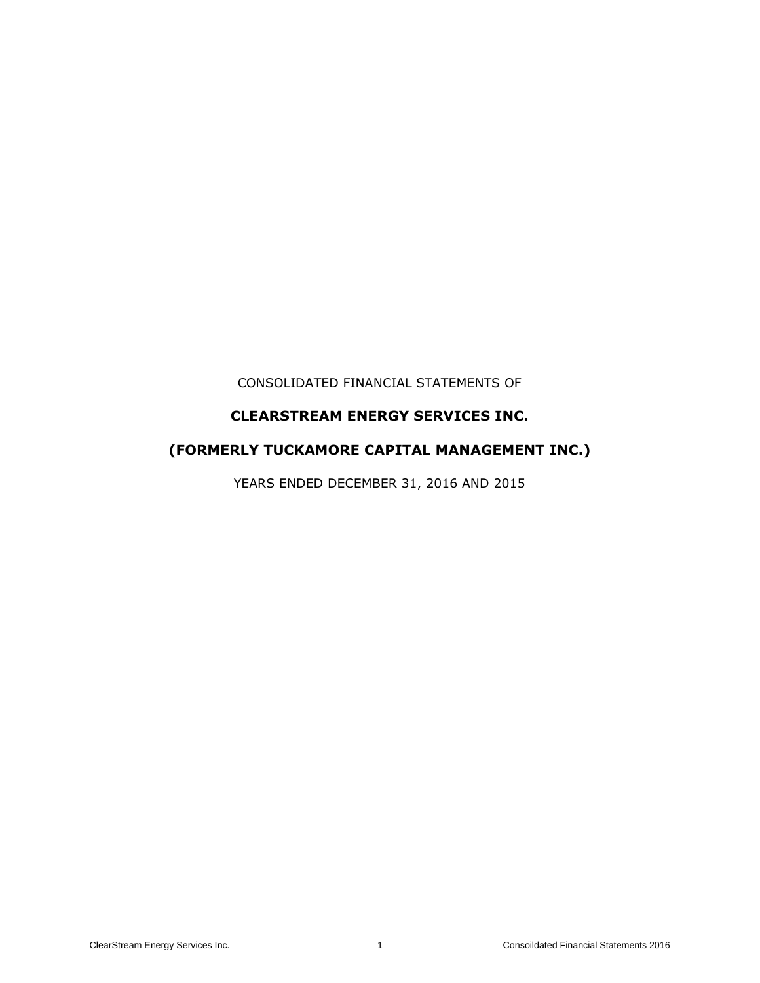CONSOLIDATED FINANCIAL STATEMENTS OF

# **CLEARSTREAM ENERGY SERVICES INC.**

# **(FORMERLY TUCKAMORE CAPITAL MANAGEMENT INC.)**

YEARS ENDED DECEMBER 31, 2016 AND 2015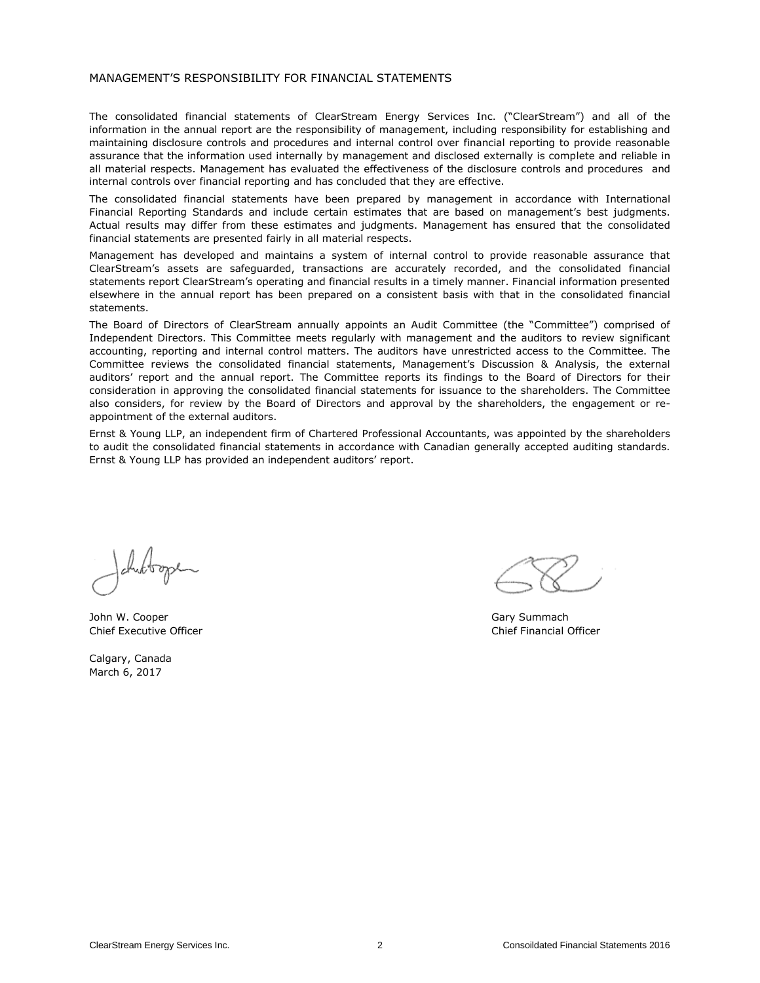## MANAGEMENT'S RESPONSIBILITY FOR FINANCIAL STATEMENTS

The consolidated financial statements of ClearStream Energy Services Inc. ("ClearStream") and all of the information in the annual report are the responsibility of management, including responsibility for establishing and maintaining disclosure controls and procedures and internal control over financial reporting to provide reasonable assurance that the information used internally by management and disclosed externally is complete and reliable in all material respects. Management has evaluated the effectiveness of the disclosure controls and procedures and internal controls over financial reporting and has concluded that they are effective.

The consolidated financial statements have been prepared by management in accordance with International Financial Reporting Standards and include certain estimates that are based on management's best judgments. Actual results may differ from these estimates and judgments. Management has ensured that the consolidated financial statements are presented fairly in all material respects.

Management has developed and maintains a system of internal control to provide reasonable assurance that ClearStream's assets are safeguarded, transactions are accurately recorded, and the consolidated financial statements report ClearStream's operating and financial results in a timely manner. Financial information presented elsewhere in the annual report has been prepared on a consistent basis with that in the consolidated financial statements.

The Board of Directors of ClearStream annually appoints an Audit Committee (the "Committee") comprised of Independent Directors. This Committee meets regularly with management and the auditors to review significant accounting, reporting and internal control matters. The auditors have unrestricted access to the Committee. The Committee reviews the consolidated financial statements, Management's Discussion & Analysis, the external auditors' report and the annual report. The Committee reports its findings to the Board of Directors for their consideration in approving the consolidated financial statements for issuance to the shareholders. The Committee also considers, for review by the Board of Directors and approval by the shareholders, the engagement or reappointment of the external auditors.

Ernst & Young LLP, an independent firm of Chartered Professional Accountants, was appointed by the shareholders to audit the consolidated financial statements in accordance with Canadian generally accepted auditing standards. Ernst & Young LLP has provided an independent auditors' report.

childrense

John W. Cooper Gary Summach Cooper Gary Summach Cooper Gary Summach Cooper Gary Summach Cooper Gary Summach Co Chief Executive Officer Chief Financial Officer

Calgary, Canada March 6, 2017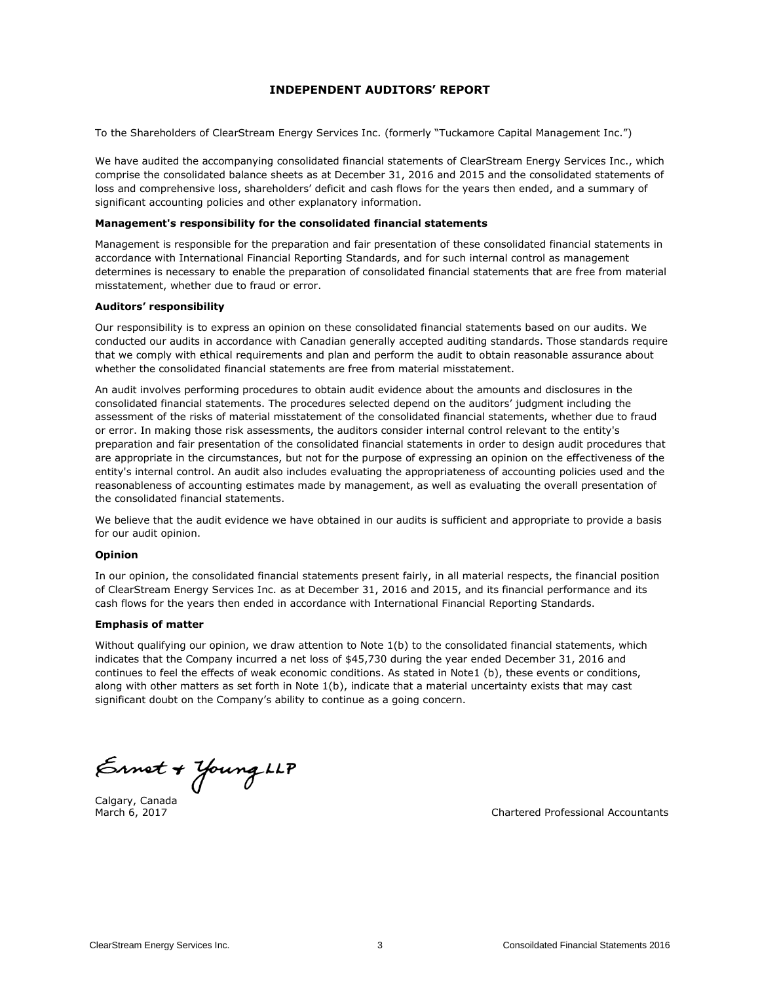## **INDEPENDENT AUDITORS' REPORT**

To the Shareholders of ClearStream Energy Services Inc. (formerly "Tuckamore Capital Management Inc.")

We have audited the accompanying consolidated financial statements of ClearStream Energy Services Inc., which comprise the consolidated balance sheets as at December 31, 2016 and 2015 and the consolidated statements of loss and comprehensive loss, shareholders' deficit and cash flows for the years then ended, and a summary of significant accounting policies and other explanatory information.

#### **Management's responsibility for the consolidated financial statements**

Management is responsible for the preparation and fair presentation of these consolidated financial statements in accordance with International Financial Reporting Standards, and for such internal control as management determines is necessary to enable the preparation of consolidated financial statements that are free from material misstatement, whether due to fraud or error.

#### **Auditors' responsibility**

Our responsibility is to express an opinion on these consolidated financial statements based on our audits. We conducted our audits in accordance with Canadian generally accepted auditing standards. Those standards require that we comply with ethical requirements and plan and perform the audit to obtain reasonable assurance about whether the consolidated financial statements are free from material misstatement.

An audit involves performing procedures to obtain audit evidence about the amounts and disclosures in the consolidated financial statements. The procedures selected depend on the auditors' judgment including the assessment of the risks of material misstatement of the consolidated financial statements, whether due to fraud or error. In making those risk assessments, the auditors consider internal control relevant to the entity's preparation and fair presentation of the consolidated financial statements in order to design audit procedures that are appropriate in the circumstances, but not for the purpose of expressing an opinion on the effectiveness of the entity's internal control. An audit also includes evaluating the appropriateness of accounting policies used and the reasonableness of accounting estimates made by management, as well as evaluating the overall presentation of the consolidated financial statements.

We believe that the audit evidence we have obtained in our audits is sufficient and appropriate to provide a basis for our audit opinion.

#### **Opinion**

In our opinion, the consolidated financial statements present fairly, in all material respects, the financial position of ClearStream Energy Services Inc. as at December 31, 2016 and 2015, and its financial performance and its cash flows for the years then ended in accordance with International Financial Reporting Standards.

#### **Emphasis of matter**

Without qualifying our opinion, we draw attention to Note 1(b) to the consolidated financial statements, which indicates that the Company incurred a net loss of \$45,730 during the year ended December 31, 2016 and continues to feel the effects of weak economic conditions. As stated in Note1 (b), these events or conditions, along with other matters as set forth in Note 1(b), indicate that a material uncertainty exists that may cast significant doubt on the Company's ability to continue as a going concern.

Ernet + Young LLP

March 6, 2017 **Chartered Professional Accountants**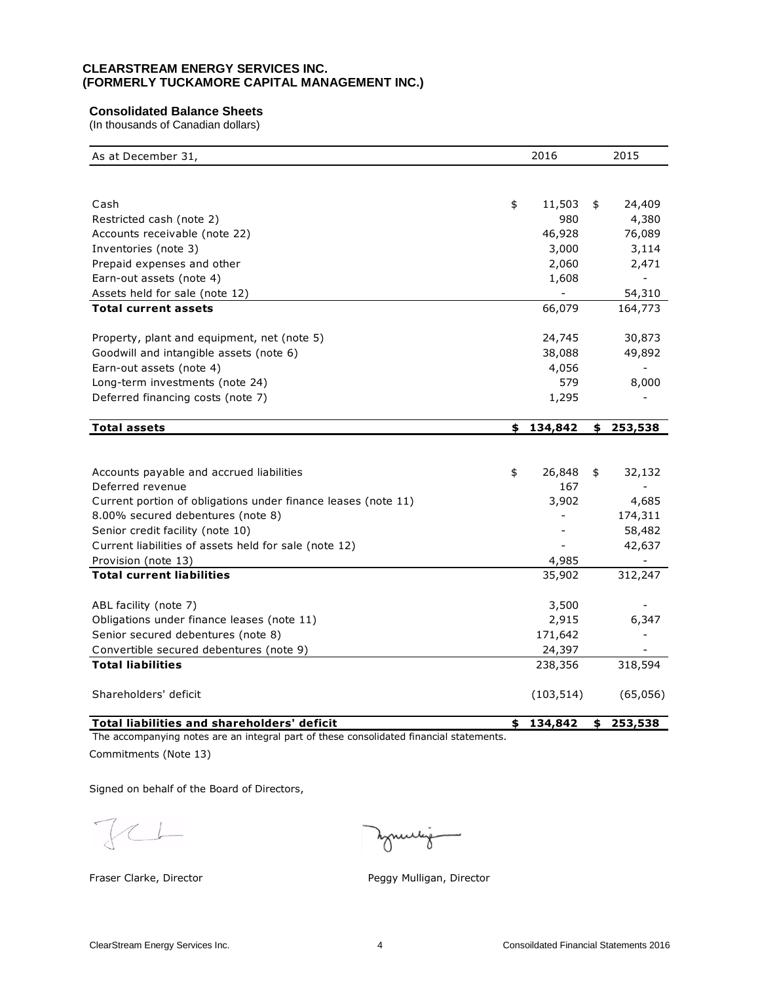# **Consolidated Balance Sheets**

(In thousands of Canadian dollars)

| As at December 31,                                            | 2016          | 2015          |
|---------------------------------------------------------------|---------------|---------------|
|                                                               |               |               |
|                                                               |               |               |
| Cash                                                          | \$<br>11,503  | \$<br>24,409  |
| Restricted cash (note 2)                                      | 980           | 4,380         |
| Accounts receivable (note 22)                                 | 46,928        | 76,089        |
| Inventories (note 3)                                          | 3,000         | 3,114         |
| Prepaid expenses and other                                    | 2,060         | 2,471         |
| Earn-out assets (note 4)                                      | 1,608         |               |
| Assets held for sale (note 12)                                |               | 54,310        |
| <b>Total current assets</b>                                   | 66,079        | 164,773       |
| Property, plant and equipment, net (note 5)                   | 24,745        | 30,873        |
| Goodwill and intangible assets (note 6)                       | 38,088        | 49,892        |
| Earn-out assets (note 4)                                      | 4,056         |               |
| Long-term investments (note 24)                               | 579           | 8,000         |
| Deferred financing costs (note 7)                             | 1,295         |               |
|                                                               |               |               |
| Total assets                                                  | \$<br>134,842 | \$<br>253,538 |
|                                                               |               |               |
|                                                               |               |               |
| Accounts payable and accrued liabilities                      | \$<br>26,848  | \$<br>32,132  |
| Deferred revenue                                              | 167           |               |
| Current portion of obligations under finance leases (note 11) | 3,902         | 4,685         |
| 8.00% secured debentures (note 8)                             |               | 174,311       |
| Senior credit facility (note 10)                              |               | 58,482        |
| Current liabilities of assets held for sale (note 12)         |               | 42,637        |
| Provision (note 13)                                           | 4,985         |               |
| <b>Total current liabilities</b>                              | 35,902        | 312,247       |
| ABL facility (note 7)                                         | 3,500         |               |
| Obligations under finance leases (note 11)                    | 2,915         | 6,347         |
| Senior secured debentures (note 8)                            | 171,642       |               |
| Convertible secured debentures (note 9)                       | 24,397        |               |
| <b>Total liabilities</b>                                      | 238,356       | 318,594       |
| Shareholders' deficit                                         | (103, 514)    | (65,056)      |
| <b>Total liabilities and shareholders' deficit</b>            | \$<br>134,842 | \$<br>253,538 |

The accompanying notes are an integral part of these consolidated financial statements.

Commitments (Note 13)

Signed on behalf of the Board of Directors,

 $7c1$ 

mulig

Fraser Clarke, Director **Peggy Mulligan, Director**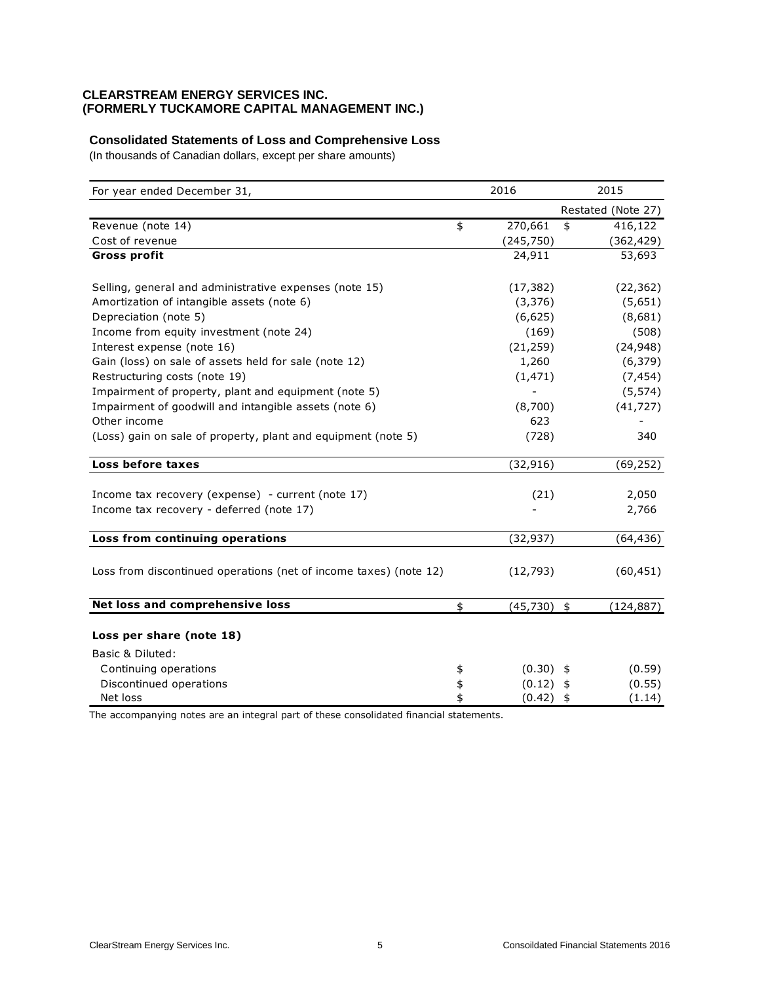# **Consolidated Statements of Loss and Comprehensive Loss**

(In thousands of Canadian dollars, except per share amounts)

| For year ended December 31,                                       | 2016                 | 2015               |
|-------------------------------------------------------------------|----------------------|--------------------|
|                                                                   |                      | Restated (Note 27) |
| Revenue (note 14)                                                 | \$<br>270,661        | \$<br>416,122      |
| Cost of revenue                                                   | (245, 750)           | (362, 429)         |
| <b>Gross profit</b>                                               | 24,911               | 53,693             |
| Selling, general and administrative expenses (note 15)            | (17, 382)            | (22, 362)          |
| Amortization of intangible assets (note 6)                        | (3, 376)             | (5,651)            |
| Depreciation (note 5)                                             | (6,625)              | (8,681)            |
| Income from equity investment (note 24)                           | (169)                | (508)              |
| Interest expense (note 16)                                        | (21, 259)            | (24, 948)          |
| Gain (loss) on sale of assets held for sale (note 12)             | 1,260                | (6, 379)           |
| Restructuring costs (note 19)                                     | (1, 471)             | (7, 454)           |
| Impairment of property, plant and equipment (note 5)              |                      | (5, 574)           |
| Impairment of goodwill and intangible assets (note 6)             | (8,700)              | (41, 727)          |
| Other income                                                      | 623                  |                    |
| (Loss) gain on sale of property, plant and equipment (note 5)     | (728)                | 340                |
| Loss before taxes                                                 | (32, 916)            | (69, 252)          |
|                                                                   |                      |                    |
| Income tax recovery (expense) - current (note 17)                 | (21)                 | 2,050              |
| Income tax recovery - deferred (note 17)                          |                      | 2,766              |
| Loss from continuing operations                                   | (32, 937)            | (64, 436)          |
| Loss from discontinued operations (net of income taxes) (note 12) | (12, 793)            | (60, 451)          |
| <b>Net loss and comprehensive loss</b>                            | \$<br>$(45, 730)$ \$ | (124, 887)         |
| Loss per share (note 18)                                          |                      |                    |
| Basic & Diluted:                                                  |                      |                    |
| Continuing operations                                             | \$<br>$(0.30)$ \$    | (0.59)             |
| Discontinued operations                                           | \$<br>(0.12)         | \$<br>(0.55)       |
| Net loss                                                          | \$<br>(0.42)         | \$<br>(1.14)       |

The accompanying notes are an integral part of these consolidated financial statements.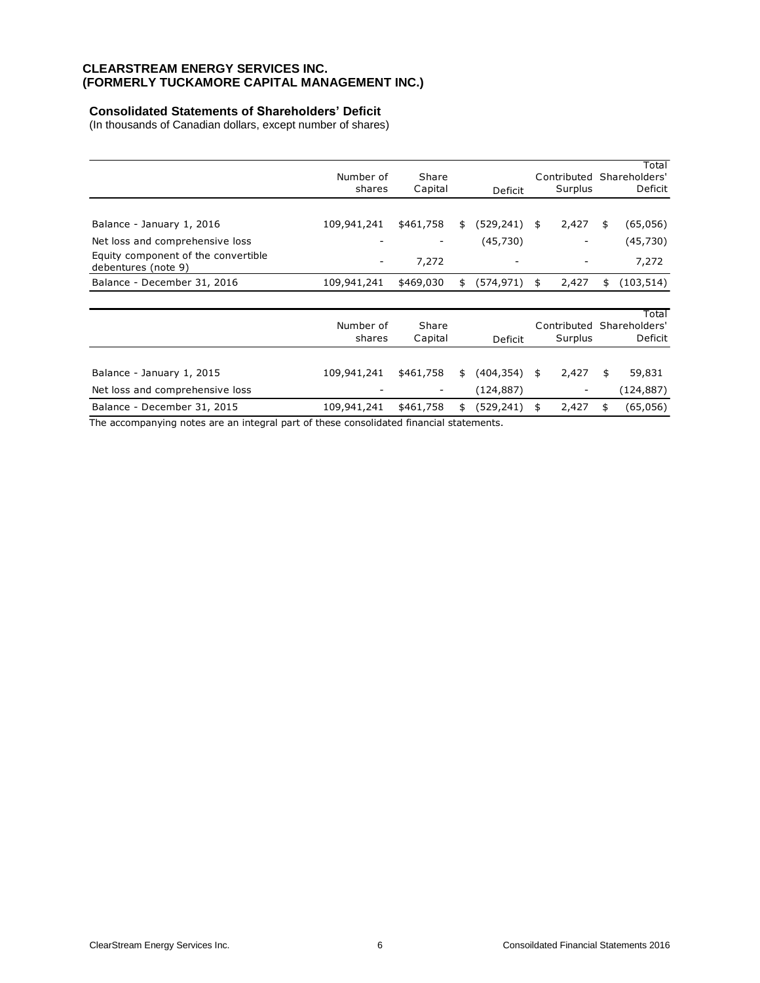# **Consolidated Statements of Shareholders' Deficit**

(In thousands of Canadian dollars, except number of shares)

|                                                              | Number of<br>shares | Share<br>Capital | Deficit                      | Surplus     | Total<br>Contributed Shareholders'<br>Deficit |
|--------------------------------------------------------------|---------------------|------------------|------------------------------|-------------|-----------------------------------------------|
| Balance - January 1, 2016<br>Net loss and comprehensive loss | 109,941,241         | \$461,758        | \$<br>(529, 241)<br>(45,730) | \$<br>2,427 | \$<br>(65,056)<br>(45,730)                    |
| Equity component of the convertible<br>debentures (note 9)   |                     | 7,272            | $\overline{\phantom{0}}$     |             | 7,272                                         |
| Balance - December 31, 2016                                  | 109,941,241         | \$469,030        | \$<br>(574, 971)             | \$<br>2,427 | \$<br>(103, 514)                              |
|                                                              |                     |                  |                              |             |                                               |
|                                                              | Number of<br>shares | Share<br>Capital | Deficit                      | Surplus     | Total<br>Contributed Shareholders'<br>Deficit |
|                                                              |                     |                  |                              |             |                                               |
| Balance - January 1, 2015                                    | 109,941,241         | \$461,758        | \$<br>(404, 354)             | \$<br>2,427 | \$<br>59,831                                  |
| Net loss and comprehensive loss                              |                     |                  | (124, 887)                   |             | (124, 887)                                    |
| Balance - December 31, 2015                                  | 109,941,241         | \$461,758        | \$<br>(529, 241)             | \$<br>2,427 | \$<br>(65,056)                                |

The accompanying notes are an integral part of these consolidated financial statements.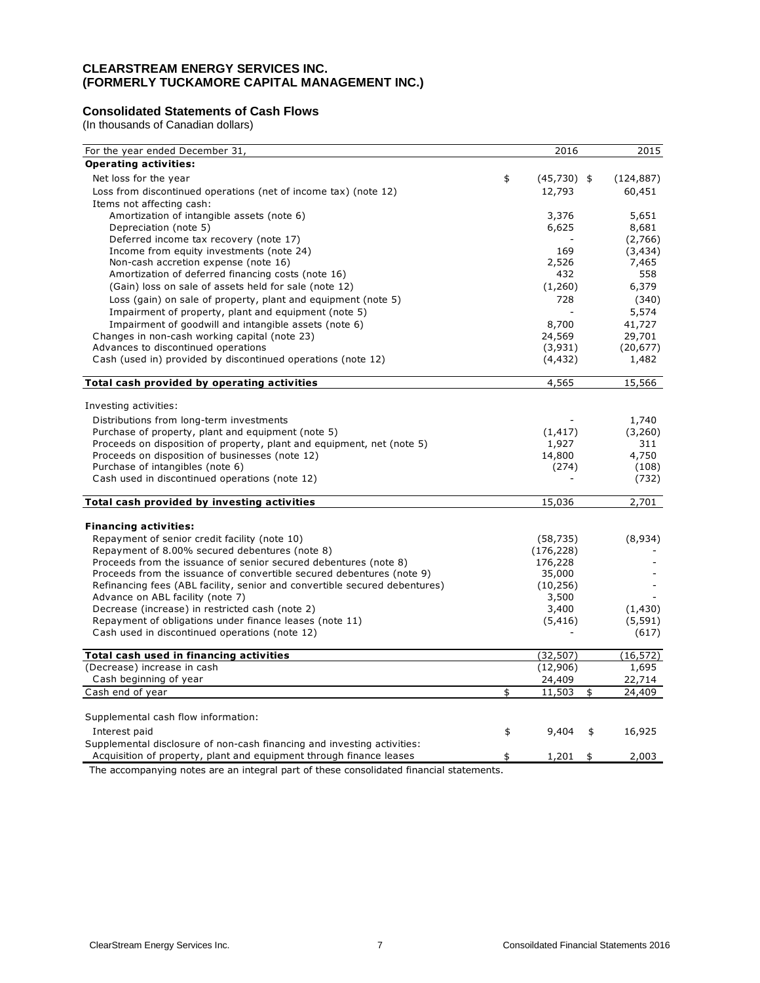# **Consolidated Statements of Cash Flows**

(In thousands of Canadian dollars)

| For the year ended December 31,                                                                 | 2016                         | 2015             |
|-------------------------------------------------------------------------------------------------|------------------------------|------------------|
| <b>Operating activities:</b>                                                                    |                              |                  |
| Net loss for the year                                                                           | \$<br>$(45,730)$ \$          | (124, 887)       |
| Loss from discontinued operations (net of income tax) (note 12)                                 | 12,793                       | 60,451           |
| Items not affecting cash:                                                                       |                              |                  |
| Amortization of intangible assets (note 6)                                                      | 3,376                        | 5,651            |
| Depreciation (note 5)                                                                           | 6,625                        | 8,681            |
| Deferred income tax recovery (note 17)                                                          |                              | (2,766)          |
| Income from equity investments (note 24)                                                        | 169                          | (3, 434)         |
| Non-cash accretion expense (note 16)                                                            | 2,526                        | 7,465            |
| Amortization of deferred financing costs (note 16)                                              | 432                          | 558              |
| (Gain) loss on sale of assets held for sale (note 12)                                           | (1,260)                      | 6,379            |
| Loss (gain) on sale of property, plant and equipment (note 5)                                   | 728                          | (340)            |
| Impairment of property, plant and equipment (note 5)                                            |                              | 5,574            |
| Impairment of goodwill and intangible assets (note 6)                                           | 8,700                        | 41,727           |
| Changes in non-cash working capital (note 23)                                                   | 24,569                       | 29,701           |
| Advances to discontinued operations                                                             | (3,931)                      | (20, 677)        |
| Cash (used in) provided by discontinued operations (note 12)                                    | (4, 432)                     | 1,482            |
| Total cash provided by operating activities                                                     | 4,565                        | 15,566           |
|                                                                                                 |                              |                  |
| Investing activities:                                                                           |                              |                  |
| Distributions from long-term investments                                                        |                              | 1,740            |
| Purchase of property, plant and equipment (note 5)                                              | (1, 417)                     | (3, 260)         |
| Proceeds on disposition of property, plant and equipment, net (note 5)                          | 1,927                        | 311              |
| Proceeds on disposition of businesses (note 12)<br>Purchase of intangibles (note 6)             | 14,800                       | 4,750<br>(108)   |
| Cash used in discontinued operations (note 12)                                                  | (274)                        | (732)            |
|                                                                                                 |                              |                  |
| Total cash provided by investing activities                                                     | 15,036                       | 2,701            |
|                                                                                                 |                              |                  |
| <b>Financing activities:</b>                                                                    |                              |                  |
| Repayment of senior credit facility (note 10)<br>Repayment of 8.00% secured debentures (note 8) | (58, 735)                    | (8,934)          |
| Proceeds from the issuance of senior secured debentures (note 8)                                | (176, 228)<br>176,228        |                  |
| Proceeds from the issuance of convertible secured debentures (note 9)                           | 35,000                       |                  |
| Refinancing fees (ABL facility, senior and convertible secured debentures)                      | (10, 256)                    |                  |
| Advance on ABL facility (note 7)                                                                | 3,500                        |                  |
| Decrease (increase) in restricted cash (note 2)                                                 | 3,400                        | (1, 430)         |
| Repayment of obligations under finance leases (note 11)                                         | (5, 416)                     | (5, 591)         |
| Cash used in discontinued operations (note 12)                                                  |                              | (617)            |
|                                                                                                 |                              |                  |
| Total cash used in financing activities                                                         | (32, 507)                    | (16, 572)        |
| (Decrease) increase in cash<br>Cash beginning of year                                           | (12,906)                     | 1,695            |
| Cash end of year                                                                                | \$<br>24,409<br>11,503<br>\$ | 22,714<br>24,409 |
|                                                                                                 |                              |                  |
| Supplemental cash flow information:                                                             |                              |                  |
| Interest paid                                                                                   | \$<br>9,404<br>\$            | 16,925           |
| Supplemental disclosure of non-cash financing and investing activities:                         |                              |                  |
| Acquisition of property, plant and equipment through finance leases                             | \$<br>1,201<br>\$            | 2,003            |
| $\sim$ $\sim$ $\sim$                                                                            |                              |                  |

The accompanying notes are an integral part of these consolidated financial statements.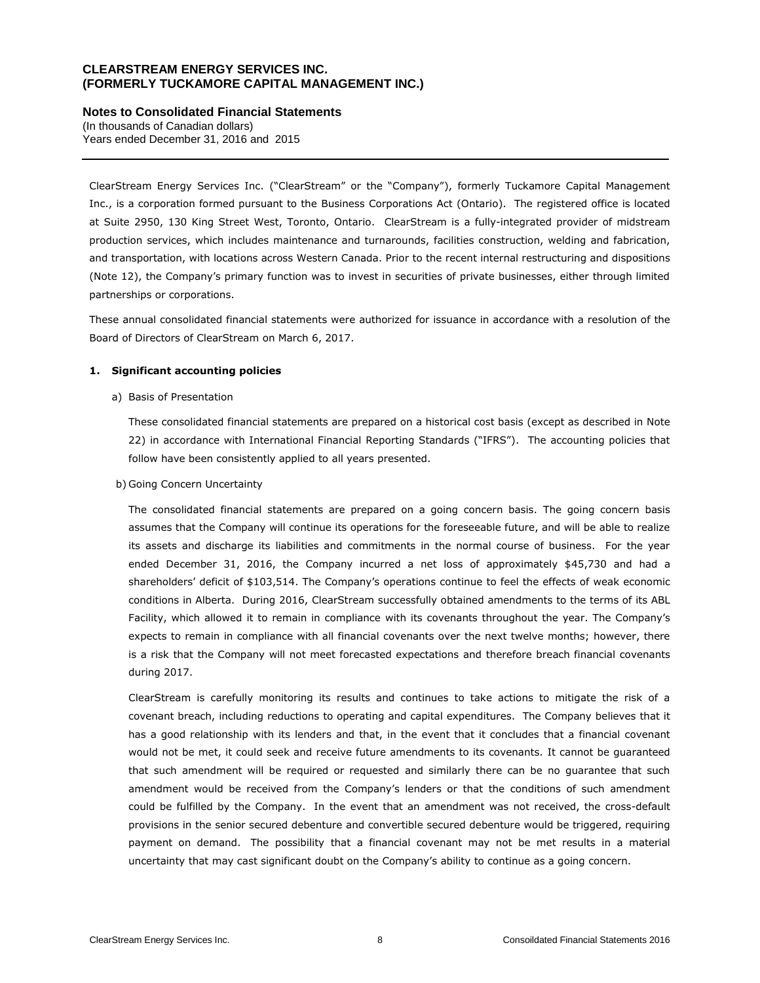## **Notes to Consolidated Financial Statements**

(In thousands of Canadian dollars) Years ended December 31, 2016 and 2015

ClearStream Energy Services Inc. ("ClearStream" or the "Company"), formerly Tuckamore Capital Management Inc., is a corporation formed pursuant to the Business Corporations Act (Ontario). The registered office is located at Suite 2950, 130 King Street West, Toronto, Ontario. ClearStream is a fully-integrated provider of midstream production services, which includes maintenance and turnarounds, facilities construction, welding and fabrication, and transportation, with locations across Western Canada. Prior to the recent internal restructuring and dispositions (Note 12), the Company's primary function was to invest in securities of private businesses, either through limited partnerships or corporations.

These annual consolidated financial statements were authorized for issuance in accordance with a resolution of the Board of Directors of ClearStream on March 6, 2017.

## **1. Significant accounting policies**

a) Basis of Presentation

These consolidated financial statements are prepared on a historical cost basis (except as described in Note 22) in accordance with International Financial Reporting Standards ("IFRS"). The accounting policies that follow have been consistently applied to all years presented.

b) Going Concern Uncertainty

The consolidated financial statements are prepared on a going concern basis. The going concern basis assumes that the Company will continue its operations for the foreseeable future, and will be able to realize its assets and discharge its liabilities and commitments in the normal course of business. For the year ended December 31, 2016, the Company incurred a net loss of approximately \$45,730 and had a shareholders' deficit of \$103,514. The Company's operations continue to feel the effects of weak economic conditions in Alberta. During 2016, ClearStream successfully obtained amendments to the terms of its ABL Facility, which allowed it to remain in compliance with its covenants throughout the year. The Company's expects to remain in compliance with all financial covenants over the next twelve months; however, there is a risk that the Company will not meet forecasted expectations and therefore breach financial covenants during 2017.

ClearStream is carefully monitoring its results and continues to take actions to mitigate the risk of a covenant breach, including reductions to operating and capital expenditures. The Company believes that it has a good relationship with its lenders and that, in the event that it concludes that a financial covenant would not be met, it could seek and receive future amendments to its covenants. It cannot be guaranteed that such amendment will be required or requested and similarly there can be no guarantee that such amendment would be received from the Company's lenders or that the conditions of such amendment could be fulfilled by the Company. In the event that an amendment was not received, the cross-default provisions in the senior secured debenture and convertible secured debenture would be triggered, requiring payment on demand. The possibility that a financial covenant may not be met results in a material uncertainty that may cast significant doubt on the Company's ability to continue as a going concern.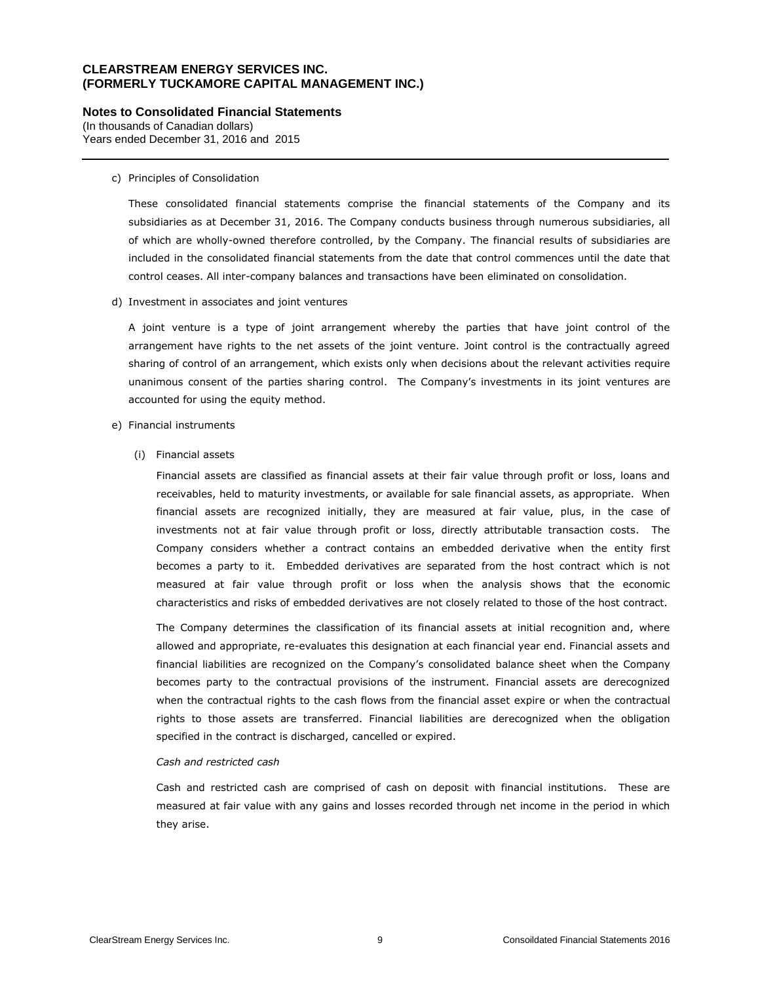### **Notes to Consolidated Financial Statements**

(In thousands of Canadian dollars) Years ended December 31, 2016 and 2015

#### c) Principles of Consolidation

These consolidated financial statements comprise the financial statements of the Company and its subsidiaries as at December 31, 2016. The Company conducts business through numerous subsidiaries, all of which are wholly-owned therefore controlled, by the Company. The financial results of subsidiaries are included in the consolidated financial statements from the date that control commences until the date that control ceases. All inter-company balances and transactions have been eliminated on consolidation.

d) Investment in associates and joint ventures

A joint venture is a type of joint arrangement whereby the parties that have joint control of the arrangement have rights to the net assets of the joint venture. Joint control is the contractually agreed sharing of control of an arrangement, which exists only when decisions about the relevant activities require unanimous consent of the parties sharing control. The Company's investments in its joint ventures are accounted for using the equity method.

- e) Financial instruments
	- (i) Financial assets

Financial assets are classified as financial assets at their fair value through profit or loss, loans and receivables, held to maturity investments, or available for sale financial assets, as appropriate. When financial assets are recognized initially, they are measured at fair value, plus, in the case of investments not at fair value through profit or loss, directly attributable transaction costs. The Company considers whether a contract contains an embedded derivative when the entity first becomes a party to it. Embedded derivatives are separated from the host contract which is not measured at fair value through profit or loss when the analysis shows that the economic characteristics and risks of embedded derivatives are not closely related to those of the host contract.

The Company determines the classification of its financial assets at initial recognition and, where allowed and appropriate, re-evaluates this designation at each financial year end. Financial assets and financial liabilities are recognized on the Company's consolidated balance sheet when the Company becomes party to the contractual provisions of the instrument. Financial assets are derecognized when the contractual rights to the cash flows from the financial asset expire or when the contractual rights to those assets are transferred. Financial liabilities are derecognized when the obligation specified in the contract is discharged, cancelled or expired.

#### *Cash and restricted cash*

Cash and restricted cash are comprised of cash on deposit with financial institutions. These are measured at fair value with any gains and losses recorded through net income in the period in which they arise.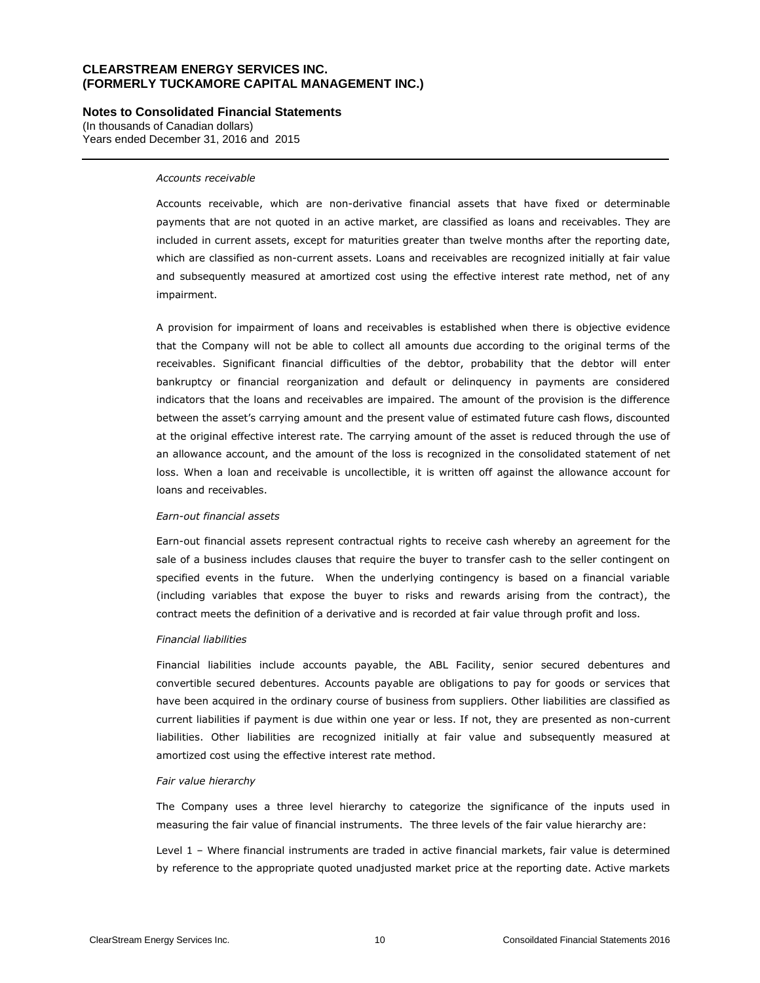### **Notes to Consolidated Financial Statements**

(In thousands of Canadian dollars) Years ended December 31, 2016 and 2015

#### *Accounts receivable*

Accounts receivable, which are non-derivative financial assets that have fixed or determinable payments that are not quoted in an active market, are classified as loans and receivables. They are included in current assets, except for maturities greater than twelve months after the reporting date, which are classified as non-current assets. Loans and receivables are recognized initially at fair value and subsequently measured at amortized cost using the effective interest rate method, net of any impairment.

A provision for impairment of loans and receivables is established when there is objective evidence that the Company will not be able to collect all amounts due according to the original terms of the receivables. Significant financial difficulties of the debtor, probability that the debtor will enter bankruptcy or financial reorganization and default or delinquency in payments are considered indicators that the loans and receivables are impaired. The amount of the provision is the difference between the asset's carrying amount and the present value of estimated future cash flows, discounted at the original effective interest rate. The carrying amount of the asset is reduced through the use of an allowance account, and the amount of the loss is recognized in the consolidated statement of net loss. When a loan and receivable is uncollectible, it is written off against the allowance account for loans and receivables.

#### *Earn-out financial assets*

Earn-out financial assets represent contractual rights to receive cash whereby an agreement for the sale of a business includes clauses that require the buyer to transfer cash to the seller contingent on specified events in the future. When the underlying contingency is based on a financial variable (including variables that expose the buyer to risks and rewards arising from the contract), the contract meets the definition of a derivative and is recorded at fair value through profit and loss.

#### *Financial liabilities*

Financial liabilities include accounts payable, the ABL Facility, senior secured debentures and convertible secured debentures. Accounts payable are obligations to pay for goods or services that have been acquired in the ordinary course of business from suppliers. Other liabilities are classified as current liabilities if payment is due within one year or less. If not, they are presented as non-current liabilities. Other liabilities are recognized initially at fair value and subsequently measured at amortized cost using the effective interest rate method.

#### *Fair value hierarchy*

The Company uses a three level hierarchy to categorize the significance of the inputs used in measuring the fair value of financial instruments. The three levels of the fair value hierarchy are:

Level 1 – Where financial instruments are traded in active financial markets, fair value is determined by reference to the appropriate quoted unadjusted market price at the reporting date. Active markets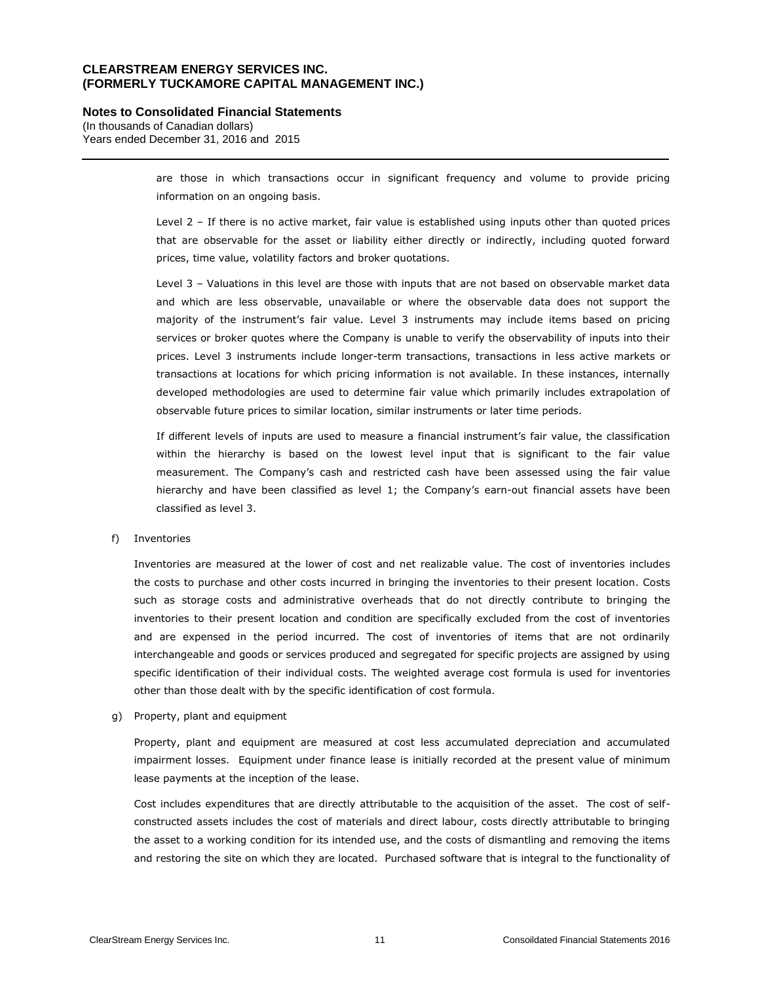### **Notes to Consolidated Financial Statements**

(In thousands of Canadian dollars) Years ended December 31, 2016 and 2015

> are those in which transactions occur in significant frequency and volume to provide pricing information on an ongoing basis.

> Level 2 – If there is no active market, fair value is established using inputs other than quoted prices that are observable for the asset or liability either directly or indirectly, including quoted forward prices, time value, volatility factors and broker quotations.

> Level 3 – Valuations in this level are those with inputs that are not based on observable market data and which are less observable, unavailable or where the observable data does not support the majority of the instrument's fair value. Level 3 instruments may include items based on pricing services or broker quotes where the Company is unable to verify the observability of inputs into their prices. Level 3 instruments include longer-term transactions, transactions in less active markets or transactions at locations for which pricing information is not available. In these instances, internally developed methodologies are used to determine fair value which primarily includes extrapolation of observable future prices to similar location, similar instruments or later time periods.

> If different levels of inputs are used to measure a financial instrument's fair value, the classification within the hierarchy is based on the lowest level input that is significant to the fair value measurement. The Company's cash and restricted cash have been assessed using the fair value hierarchy and have been classified as level 1; the Company's earn-out financial assets have been classified as level 3.

#### f) Inventories

Inventories are measured at the lower of cost and net realizable value. The cost of inventories includes the costs to purchase and other costs incurred in bringing the inventories to their present location. Costs such as storage costs and administrative overheads that do not directly contribute to bringing the inventories to their present location and condition are specifically excluded from the cost of inventories and are expensed in the period incurred. The cost of inventories of items that are not ordinarily interchangeable and goods or services produced and segregated for specific projects are assigned by using specific identification of their individual costs. The weighted average cost formula is used for inventories other than those dealt with by the specific identification of cost formula.

g) Property, plant and equipment

Property, plant and equipment are measured at cost less accumulated depreciation and accumulated impairment losses. Equipment under finance lease is initially recorded at the present value of minimum lease payments at the inception of the lease.

Cost includes expenditures that are directly attributable to the acquisition of the asset. The cost of selfconstructed assets includes the cost of materials and direct labour, costs directly attributable to bringing the asset to a working condition for its intended use, and the costs of dismantling and removing the items and restoring the site on which they are located. Purchased software that is integral to the functionality of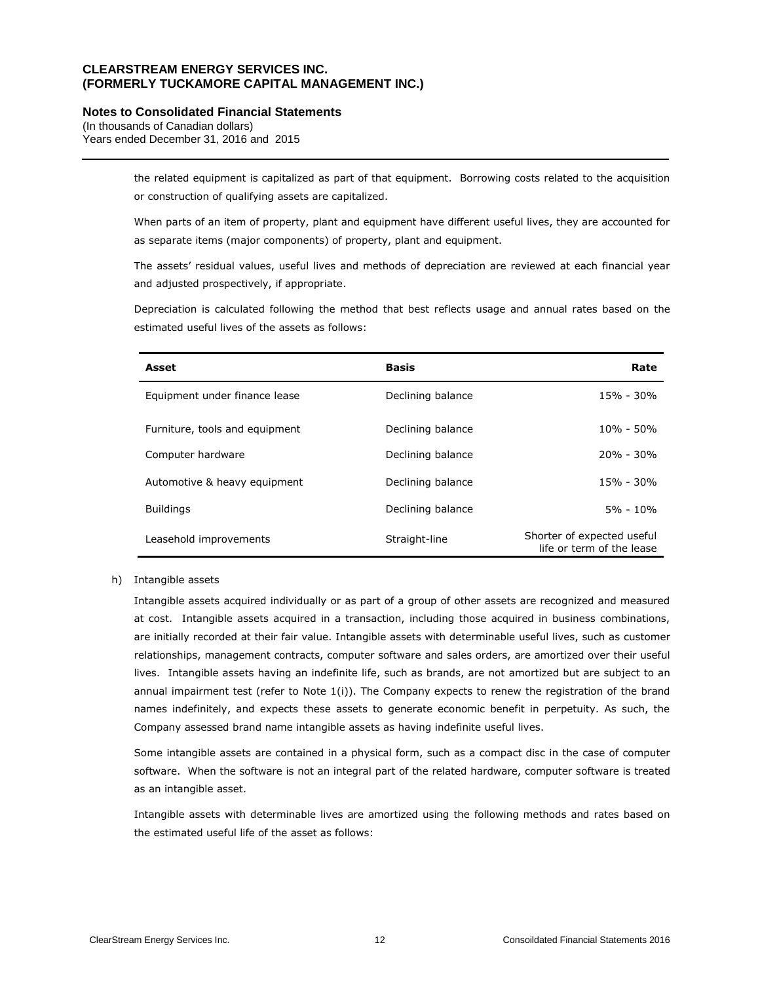## **Notes to Consolidated Financial Statements**

(In thousands of Canadian dollars) Years ended December 31, 2016 and 2015

> the related equipment is capitalized as part of that equipment. Borrowing costs related to the acquisition or construction of qualifying assets are capitalized.

> When parts of an item of property, plant and equipment have different useful lives, they are accounted for as separate items (major components) of property, plant and equipment.

> The assets' residual values, useful lives and methods of depreciation are reviewed at each financial year and adjusted prospectively, if appropriate.

> Depreciation is calculated following the method that best reflects usage and annual rates based on the estimated useful lives of the assets as follows:

| Asset                          | <b>Basis</b>      | Rate                                                    |
|--------------------------------|-------------------|---------------------------------------------------------|
| Equipment under finance lease  | Declining balance | 15% - 30%                                               |
| Furniture, tools and equipment | Declining balance | $10\% - 50\%$                                           |
| Computer hardware              | Declining balance | $20\% - 30\%$                                           |
| Automotive & heavy equipment   | Declining balance | $15% - 30%$                                             |
| <b>Buildings</b>               | Declining balance | $5\% - 10\%$                                            |
| Leasehold improvements         | Straight-line     | Shorter of expected useful<br>life or term of the lease |

## h) Intangible assets

Intangible assets acquired individually or as part of a group of other assets are recognized and measured at cost. Intangible assets acquired in a transaction, including those acquired in business combinations, are initially recorded at their fair value. Intangible assets with determinable useful lives, such as customer relationships, management contracts, computer software and sales orders, are amortized over their useful lives. Intangible assets having an indefinite life, such as brands, are not amortized but are subject to an annual impairment test (refer to Note 1(i)). The Company expects to renew the registration of the brand names indefinitely, and expects these assets to generate economic benefit in perpetuity. As such, the Company assessed brand name intangible assets as having indefinite useful lives.

Some intangible assets are contained in a physical form, such as a compact disc in the case of computer software. When the software is not an integral part of the related hardware, computer software is treated as an intangible asset.

Intangible assets with determinable lives are amortized using the following methods and rates based on the estimated useful life of the asset as follows: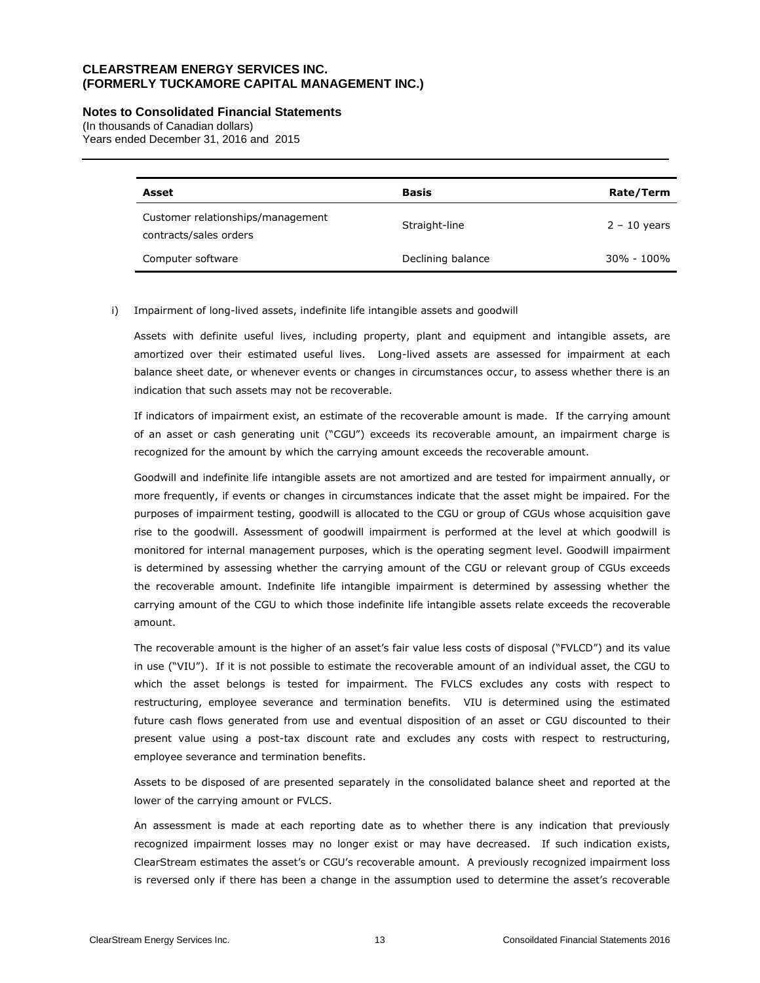## **Notes to Consolidated Financial Statements**

(In thousands of Canadian dollars) Years ended December 31, 2016 and 2015

| Asset                                                       | Basis             | Rate/Term      |
|-------------------------------------------------------------|-------------------|----------------|
| Customer relationships/management<br>contracts/sales orders | Straight-line     | $2 - 10$ years |
| Computer software                                           | Declining balance | $30\% - 100\%$ |

## i) Impairment of long-lived assets, indefinite life intangible assets and goodwill

Assets with definite useful lives, including property, plant and equipment and intangible assets, are amortized over their estimated useful lives. Long-lived assets are assessed for impairment at each balance sheet date, or whenever events or changes in circumstances occur, to assess whether there is an indication that such assets may not be recoverable.

If indicators of impairment exist, an estimate of the recoverable amount is made. If the carrying amount of an asset or cash generating unit ("CGU") exceeds its recoverable amount, an impairment charge is recognized for the amount by which the carrying amount exceeds the recoverable amount.

Goodwill and indefinite life intangible assets are not amortized and are tested for impairment annually, or more frequently, if events or changes in circumstances indicate that the asset might be impaired. For the purposes of impairment testing, goodwill is allocated to the CGU or group of CGUs whose acquisition gave rise to the goodwill. Assessment of goodwill impairment is performed at the level at which goodwill is monitored for internal management purposes, which is the operating segment level. Goodwill impairment is determined by assessing whether the carrying amount of the CGU or relevant group of CGUs exceeds the recoverable amount. Indefinite life intangible impairment is determined by assessing whether the carrying amount of the CGU to which those indefinite life intangible assets relate exceeds the recoverable amount.

The recoverable amount is the higher of an asset's fair value less costs of disposal ("FVLCD") and its value in use ("VIU"). If it is not possible to estimate the recoverable amount of an individual asset, the CGU to which the asset belongs is tested for impairment. The FVLCS excludes any costs with respect to restructuring, employee severance and termination benefits. VIU is determined using the estimated future cash flows generated from use and eventual disposition of an asset or CGU discounted to their present value using a post-tax discount rate and excludes any costs with respect to restructuring, employee severance and termination benefits.

Assets to be disposed of are presented separately in the consolidated balance sheet and reported at the lower of the carrying amount or FVLCS.

An assessment is made at each reporting date as to whether there is any indication that previously recognized impairment losses may no longer exist or may have decreased. If such indication exists, ClearStream estimates the asset's or CGU's recoverable amount. A previously recognized impairment loss is reversed only if there has been a change in the assumption used to determine the asset's recoverable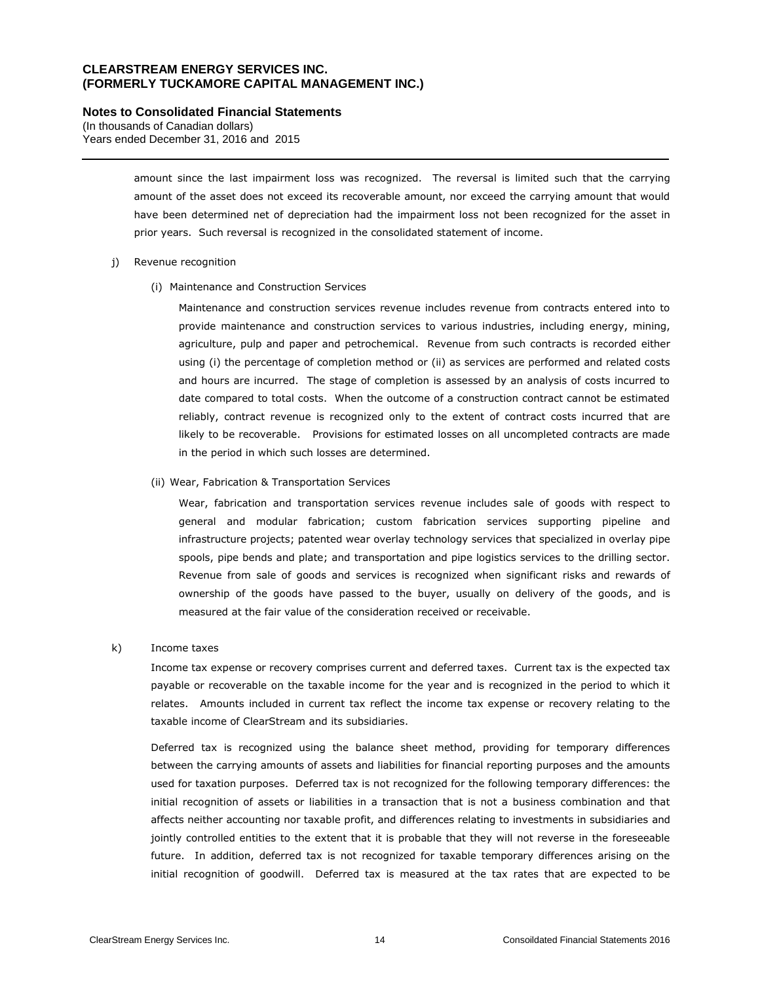### **Notes to Consolidated Financial Statements**

(In thousands of Canadian dollars) Years ended December 31, 2016 and 2015

> amount since the last impairment loss was recognized. The reversal is limited such that the carrying amount of the asset does not exceed its recoverable amount, nor exceed the carrying amount that would have been determined net of depreciation had the impairment loss not been recognized for the asset in prior years. Such reversal is recognized in the consolidated statement of income.

#### j) Revenue recognition

(i) Maintenance and Construction Services

Maintenance and construction services revenue includes revenue from contracts entered into to provide maintenance and construction services to various industries, including energy, mining, agriculture, pulp and paper and petrochemical. Revenue from such contracts is recorded either using (i) the percentage of completion method or (ii) as services are performed and related costs and hours are incurred. The stage of completion is assessed by an analysis of costs incurred to date compared to total costs. When the outcome of a construction contract cannot be estimated reliably, contract revenue is recognized only to the extent of contract costs incurred that are likely to be recoverable. Provisions for estimated losses on all uncompleted contracts are made in the period in which such losses are determined.

### (ii) Wear, Fabrication & Transportation Services

Wear, fabrication and transportation services revenue includes sale of goods with respect to general and modular fabrication; custom fabrication services supporting pipeline and infrastructure projects; patented wear overlay technology services that specialized in overlay pipe spools, pipe bends and plate; and transportation and pipe logistics services to the drilling sector. Revenue from sale of goods and services is recognized when significant risks and rewards of ownership of the goods have passed to the buyer, usually on delivery of the goods, and is measured at the fair value of the consideration received or receivable.

#### k) Income taxes

Income tax expense or recovery comprises current and deferred taxes. Current tax is the expected tax payable or recoverable on the taxable income for the year and is recognized in the period to which it relates. Amounts included in current tax reflect the income tax expense or recovery relating to the taxable income of ClearStream and its subsidiaries.

Deferred tax is recognized using the balance sheet method, providing for temporary differences between the carrying amounts of assets and liabilities for financial reporting purposes and the amounts used for taxation purposes. Deferred tax is not recognized for the following temporary differences: the initial recognition of assets or liabilities in a transaction that is not a business combination and that affects neither accounting nor taxable profit, and differences relating to investments in subsidiaries and jointly controlled entities to the extent that it is probable that they will not reverse in the foreseeable future. In addition, deferred tax is not recognized for taxable temporary differences arising on the initial recognition of goodwill. Deferred tax is measured at the tax rates that are expected to be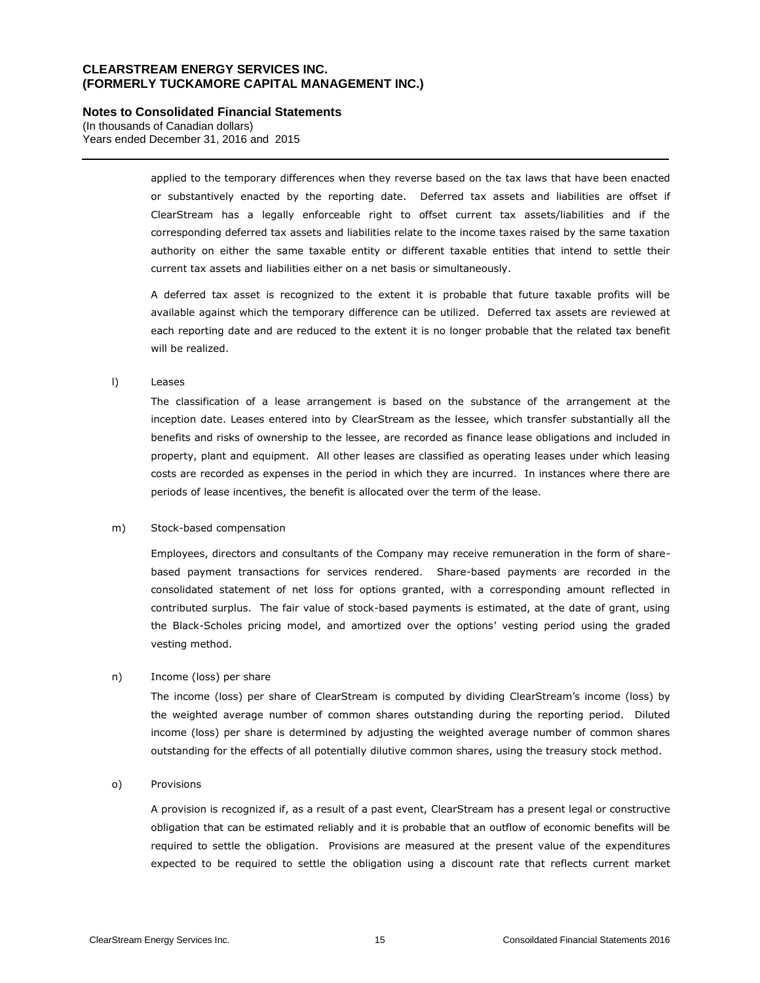### **Notes to Consolidated Financial Statements**

(In thousands of Canadian dollars) Years ended December 31, 2016 and 2015

> applied to the temporary differences when they reverse based on the tax laws that have been enacted or substantively enacted by the reporting date. Deferred tax assets and liabilities are offset if ClearStream has a legally enforceable right to offset current tax assets/liabilities and if the corresponding deferred tax assets and liabilities relate to the income taxes raised by the same taxation authority on either the same taxable entity or different taxable entities that intend to settle their current tax assets and liabilities either on a net basis or simultaneously.

> A deferred tax asset is recognized to the extent it is probable that future taxable profits will be available against which the temporary difference can be utilized. Deferred tax assets are reviewed at each reporting date and are reduced to the extent it is no longer probable that the related tax benefit will be realized.

### l) Leases

The classification of a lease arrangement is based on the substance of the arrangement at the inception date. Leases entered into by ClearStream as the lessee, which transfer substantially all the benefits and risks of ownership to the lessee, are recorded as finance lease obligations and included in property, plant and equipment. All other leases are classified as operating leases under which leasing costs are recorded as expenses in the period in which they are incurred. In instances where there are periods of lease incentives, the benefit is allocated over the term of the lease.

#### m) Stock-based compensation

Employees, directors and consultants of the Company may receive remuneration in the form of sharebased payment transactions for services rendered. Share-based payments are recorded in the consolidated statement of net loss for options granted, with a corresponding amount reflected in contributed surplus. The fair value of stock-based payments is estimated, at the date of grant, using the Black-Scholes pricing model, and amortized over the options' vesting period using the graded vesting method.

#### n) Income (loss) per share

The income (loss) per share of ClearStream is computed by dividing ClearStream's income (loss) by the weighted average number of common shares outstanding during the reporting period. Diluted income (loss) per share is determined by adjusting the weighted average number of common shares outstanding for the effects of all potentially dilutive common shares, using the treasury stock method.

#### o) Provisions

A provision is recognized if, as a result of a past event, ClearStream has a present legal or constructive obligation that can be estimated reliably and it is probable that an outflow of economic benefits will be required to settle the obligation. Provisions are measured at the present value of the expenditures expected to be required to settle the obligation using a discount rate that reflects current market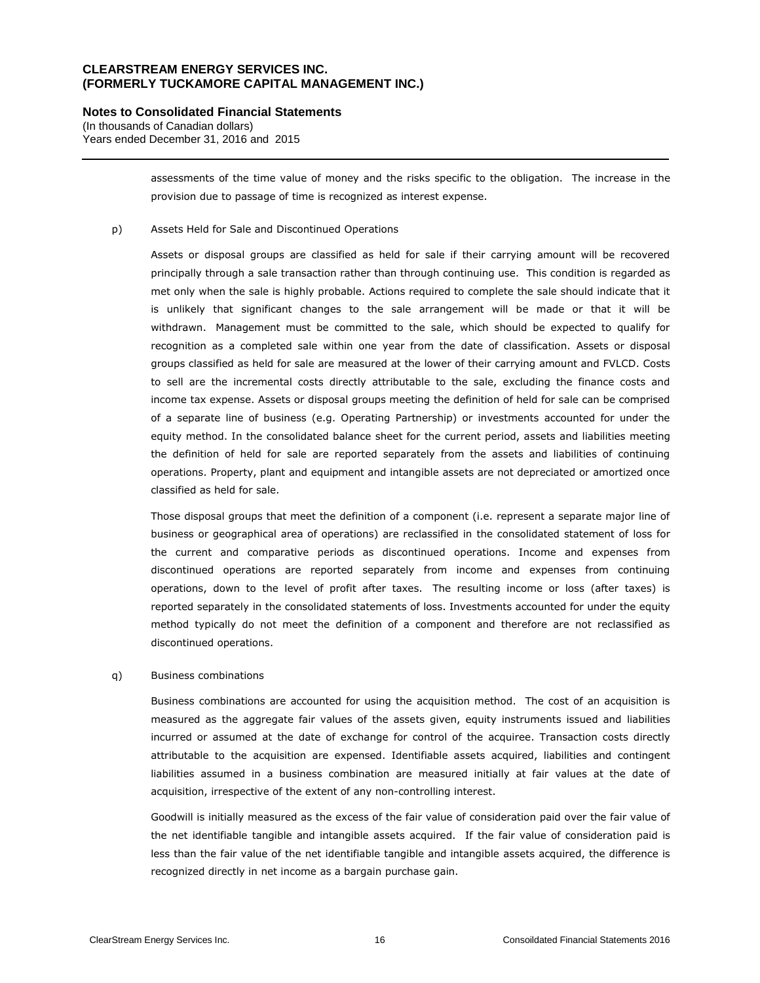### **Notes to Consolidated Financial Statements**

(In thousands of Canadian dollars) Years ended December 31, 2016 and 2015

> assessments of the time value of money and the risks specific to the obligation. The increase in the provision due to passage of time is recognized as interest expense.

### p) Assets Held for Sale and Discontinued Operations

Assets or disposal groups are classified as held for sale if their carrying amount will be recovered principally through a sale transaction rather than through continuing use. This condition is regarded as met only when the sale is highly probable. Actions required to complete the sale should indicate that it is unlikely that significant changes to the sale arrangement will be made or that it will be withdrawn. Management must be committed to the sale, which should be expected to qualify for recognition as a completed sale within one year from the date of classification. Assets or disposal groups classified as held for sale are measured at the lower of their carrying amount and FVLCD. Costs to sell are the incremental costs directly attributable to the sale, excluding the finance costs and income tax expense. Assets or disposal groups meeting the definition of held for sale can be comprised of a separate line of business (e.g. Operating Partnership) or investments accounted for under the equity method. In the consolidated balance sheet for the current period, assets and liabilities meeting the definition of held for sale are reported separately from the assets and liabilities of continuing operations. Property, plant and equipment and intangible assets are not depreciated or amortized once classified as held for sale.

Those disposal groups that meet the definition of a component (i.e. represent a separate major line of business or geographical area of operations) are reclassified in the consolidated statement of loss for the current and comparative periods as discontinued operations. Income and expenses from discontinued operations are reported separately from income and expenses from continuing operations, down to the level of profit after taxes. The resulting income or loss (after taxes) is reported separately in the consolidated statements of loss. Investments accounted for under the equity method typically do not meet the definition of a component and therefore are not reclassified as discontinued operations.

#### q) Business combinations

Business combinations are accounted for using the acquisition method. The cost of an acquisition is measured as the aggregate fair values of the assets given, equity instruments issued and liabilities incurred or assumed at the date of exchange for control of the acquiree. Transaction costs directly attributable to the acquisition are expensed. Identifiable assets acquired, liabilities and contingent liabilities assumed in a business combination are measured initially at fair values at the date of acquisition, irrespective of the extent of any non-controlling interest.

Goodwill is initially measured as the excess of the fair value of consideration paid over the fair value of the net identifiable tangible and intangible assets acquired. If the fair value of consideration paid is less than the fair value of the net identifiable tangible and intangible assets acquired, the difference is recognized directly in net income as a bargain purchase gain.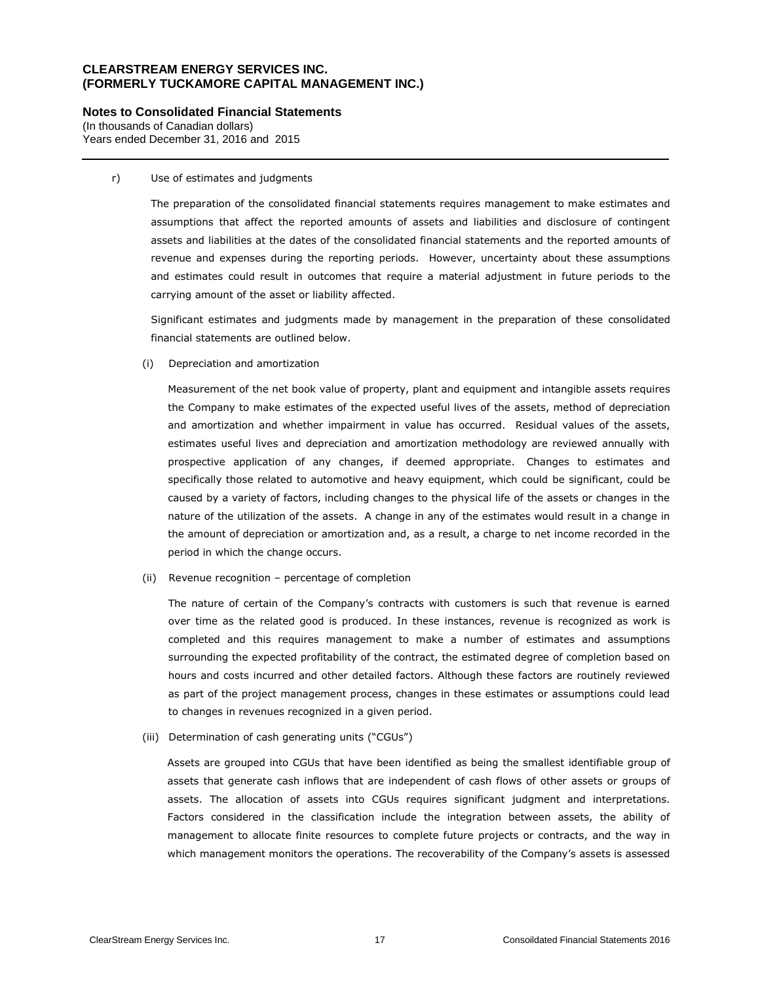### **Notes to Consolidated Financial Statements**

(In thousands of Canadian dollars) Years ended December 31, 2016 and 2015

#### r) Use of estimates and judgments

The preparation of the consolidated financial statements requires management to make estimates and assumptions that affect the reported amounts of assets and liabilities and disclosure of contingent assets and liabilities at the dates of the consolidated financial statements and the reported amounts of revenue and expenses during the reporting periods. However, uncertainty about these assumptions and estimates could result in outcomes that require a material adjustment in future periods to the carrying amount of the asset or liability affected.

Significant estimates and judgments made by management in the preparation of these consolidated financial statements are outlined below.

(i) Depreciation and amortization

Measurement of the net book value of property, plant and equipment and intangible assets requires the Company to make estimates of the expected useful lives of the assets, method of depreciation and amortization and whether impairment in value has occurred. Residual values of the assets, estimates useful lives and depreciation and amortization methodology are reviewed annually with prospective application of any changes, if deemed appropriate. Changes to estimates and specifically those related to automotive and heavy equipment, which could be significant, could be caused by a variety of factors, including changes to the physical life of the assets or changes in the nature of the utilization of the assets. A change in any of the estimates would result in a change in the amount of depreciation or amortization and, as a result, a charge to net income recorded in the period in which the change occurs.

(ii) Revenue recognition – percentage of completion

The nature of certain of the Company's contracts with customers is such that revenue is earned over time as the related good is produced. In these instances, revenue is recognized as work is completed and this requires management to make a number of estimates and assumptions surrounding the expected profitability of the contract, the estimated degree of completion based on hours and costs incurred and other detailed factors. Although these factors are routinely reviewed as part of the project management process, changes in these estimates or assumptions could lead to changes in revenues recognized in a given period.

(iii) Determination of cash generating units ("CGUs")

Assets are grouped into CGUs that have been identified as being the smallest identifiable group of assets that generate cash inflows that are independent of cash flows of other assets or groups of assets. The allocation of assets into CGUs requires significant judgment and interpretations. Factors considered in the classification include the integration between assets, the ability of management to allocate finite resources to complete future projects or contracts, and the way in which management monitors the operations. The recoverability of the Company's assets is assessed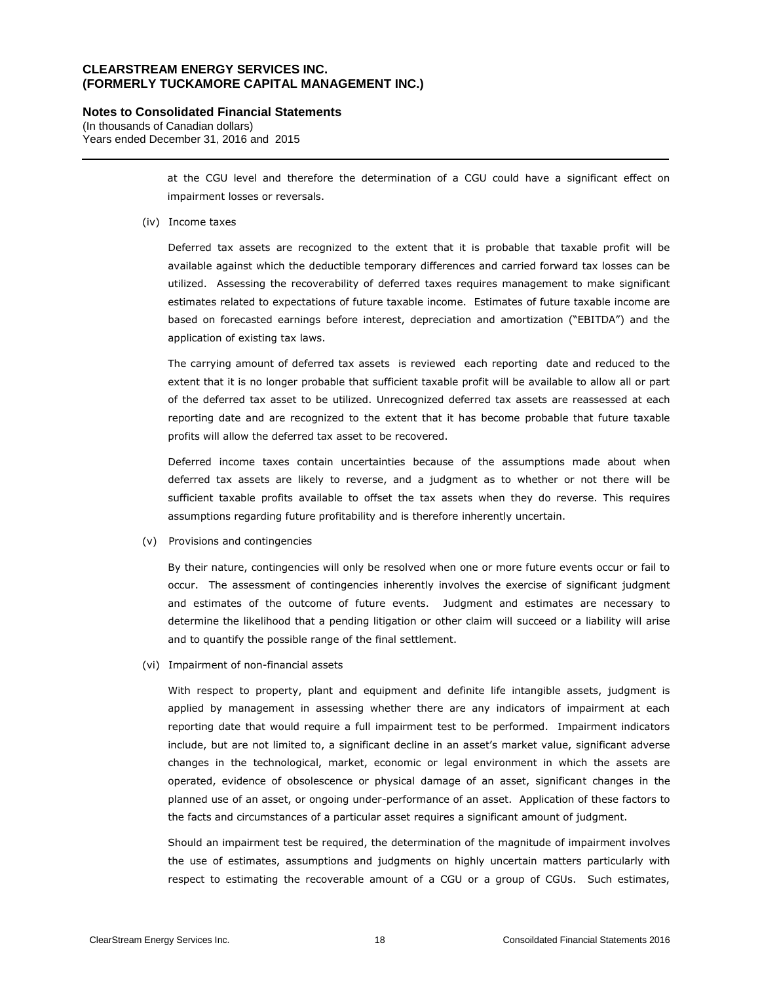### **Notes to Consolidated Financial Statements**

(In thousands of Canadian dollars) Years ended December 31, 2016 and 2015

> at the CGU level and therefore the determination of a CGU could have a significant effect on impairment losses or reversals.

(iv) Income taxes

Deferred tax assets are recognized to the extent that it is probable that taxable profit will be available against which the deductible temporary differences and carried forward tax losses can be utilized. Assessing the recoverability of deferred taxes requires management to make significant estimates related to expectations of future taxable income. Estimates of future taxable income are based on forecasted earnings before interest, depreciation and amortization ("EBITDA") and the application of existing tax laws.

The carrying amount of deferred tax assets is reviewed each reporting date and reduced to the extent that it is no longer probable that sufficient taxable profit will be available to allow all or part of the deferred tax asset to be utilized. Unrecognized deferred tax assets are reassessed at each reporting date and are recognized to the extent that it has become probable that future taxable profits will allow the deferred tax asset to be recovered.

Deferred income taxes contain uncertainties because of the assumptions made about when deferred tax assets are likely to reverse, and a judgment as to whether or not there will be sufficient taxable profits available to offset the tax assets when they do reverse. This requires assumptions regarding future profitability and is therefore inherently uncertain.

(v) Provisions and contingencies

By their nature, contingencies will only be resolved when one or more future events occur or fail to occur. The assessment of contingencies inherently involves the exercise of significant judgment and estimates of the outcome of future events. Judgment and estimates are necessary to determine the likelihood that a pending litigation or other claim will succeed or a liability will arise and to quantify the possible range of the final settlement.

(vi) Impairment of non-financial assets

With respect to property, plant and equipment and definite life intangible assets, judgment is applied by management in assessing whether there are any indicators of impairment at each reporting date that would require a full impairment test to be performed. Impairment indicators include, but are not limited to, a significant decline in an asset's market value, significant adverse changes in the technological, market, economic or legal environment in which the assets are operated, evidence of obsolescence or physical damage of an asset, significant changes in the planned use of an asset, or ongoing under-performance of an asset. Application of these factors to the facts and circumstances of a particular asset requires a significant amount of judgment.

Should an impairment test be required, the determination of the magnitude of impairment involves the use of estimates, assumptions and judgments on highly uncertain matters particularly with respect to estimating the recoverable amount of a CGU or a group of CGUs. Such estimates,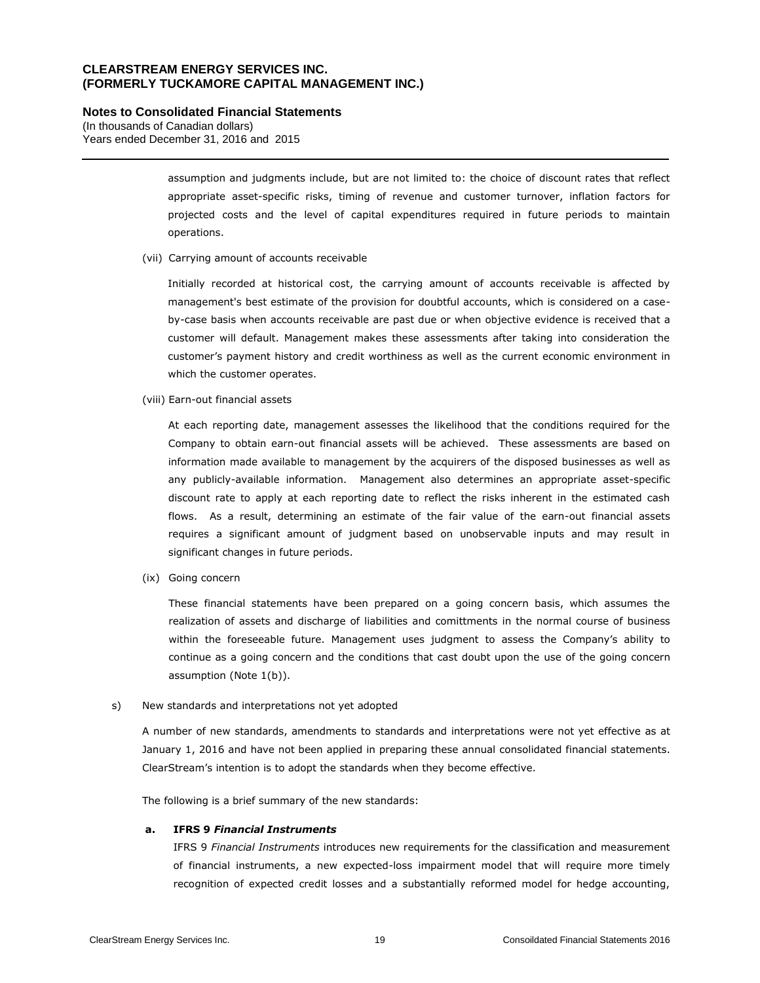## **Notes to Consolidated Financial Statements**

(In thousands of Canadian dollars) Years ended December 31, 2016 and 2015

> assumption and judgments include, but are not limited to: the choice of discount rates that reflect appropriate asset-specific risks, timing of revenue and customer turnover, inflation factors for projected costs and the level of capital expenditures required in future periods to maintain operations.

(vii) Carrying amount of accounts receivable

Initially recorded at historical cost, the carrying amount of accounts receivable is affected by management's best estimate of the provision for doubtful accounts, which is considered on a caseby-case basis when accounts receivable are past due or when objective evidence is received that a customer will default. Management makes these assessments after taking into consideration the customer's payment history and credit worthiness as well as the current economic environment in which the customer operates.

(viii) Earn-out financial assets

At each reporting date, management assesses the likelihood that the conditions required for the Company to obtain earn-out financial assets will be achieved. These assessments are based on information made available to management by the acquirers of the disposed businesses as well as any publicly-available information. Management also determines an appropriate asset-specific discount rate to apply at each reporting date to reflect the risks inherent in the estimated cash flows. As a result, determining an estimate of the fair value of the earn-out financial assets requires a significant amount of judgment based on unobservable inputs and may result in significant changes in future periods.

(ix) Going concern

These financial statements have been prepared on a going concern basis, which assumes the realization of assets and discharge of liabilities and comittments in the normal course of business within the foreseeable future. Management uses judgment to assess the Company's ability to continue as a going concern and the conditions that cast doubt upon the use of the going concern assumption (Note 1(b)).

s) New standards and interpretations not yet adopted

A number of new standards, amendments to standards and interpretations were not yet effective as at January 1, 2016 and have not been applied in preparing these annual consolidated financial statements. ClearStream's intention is to adopt the standards when they become effective.

The following is a brief summary of the new standards:

## **a. IFRS 9** *Financial Instruments*

IFRS 9 *Financial Instruments* introduces new requirements for the classification and measurement of financial instruments, a new expected-loss impairment model that will require more timely recognition of expected credit losses and a substantially reformed model for hedge accounting,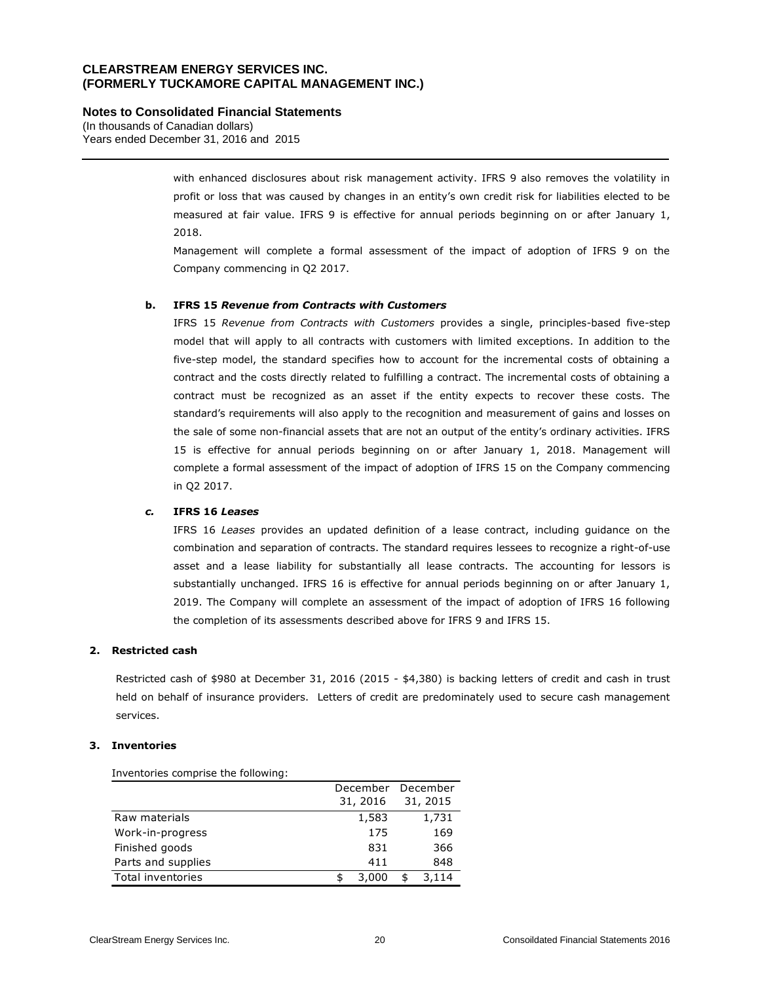## **Notes to Consolidated Financial Statements**

(In thousands of Canadian dollars) Years ended December 31, 2016 and 2015

> with enhanced disclosures about risk management activity. IFRS 9 also removes the volatility in profit or loss that was caused by changes in an entity's own credit risk for liabilities elected to be measured at fair value. IFRS 9 is effective for annual periods beginning on or after January 1, 2018.

> Management will complete a formal assessment of the impact of adoption of IFRS 9 on the Company commencing in Q2 2017.

## **b. IFRS 15** *Revenue from Contracts with Customers*

IFRS 15 *Revenue from Contracts with Customers* provides a single, principles-based five-step model that will apply to all contracts with customers with limited exceptions. In addition to the five-step model, the standard specifies how to account for the incremental costs of obtaining a contract and the costs directly related to fulfilling a contract. The incremental costs of obtaining a contract must be recognized as an asset if the entity expects to recover these costs. The standard's requirements will also apply to the recognition and measurement of gains and losses on the sale of some non-financial assets that are not an output of the entity's ordinary activities. IFRS 15 is effective for annual periods beginning on or after January 1, 2018. Management will complete a formal assessment of the impact of adoption of IFRS 15 on the Company commencing in Q2 2017.

## *c.* **IFRS 16** *Leases*

IFRS 16 *Leases* provides an updated definition of a lease contract, including guidance on the combination and separation of contracts. The standard requires lessees to recognize a right-of-use asset and a lease liability for substantially all lease contracts. The accounting for lessors is substantially unchanged. IFRS 16 is effective for annual periods beginning on or after January 1, 2019. The Company will complete an assessment of the impact of adoption of IFRS 16 following the completion of its assessments described above for IFRS 9 and IFRS 15.

## **2. Restricted cash**

Restricted cash of \$980 at December 31, 2016 (2015 - \$4,380) is backing letters of credit and cash in trust held on behalf of insurance providers. Letters of credit are predominately used to secure cash management services.

## **3. Inventories**

Inventories comprise the following:

|                    | December | December    |
|--------------------|----------|-------------|
|                    | 31, 2016 | 31, 2015    |
| Raw materials      | 1,583    | 1,731       |
| Work-in-progress   | 175      | 169         |
| Finished goods     | 831      | 366         |
| Parts and supplies | 411      | 848         |
| Total inventories  | 3,000    | \$<br>3.114 |
|                    |          |             |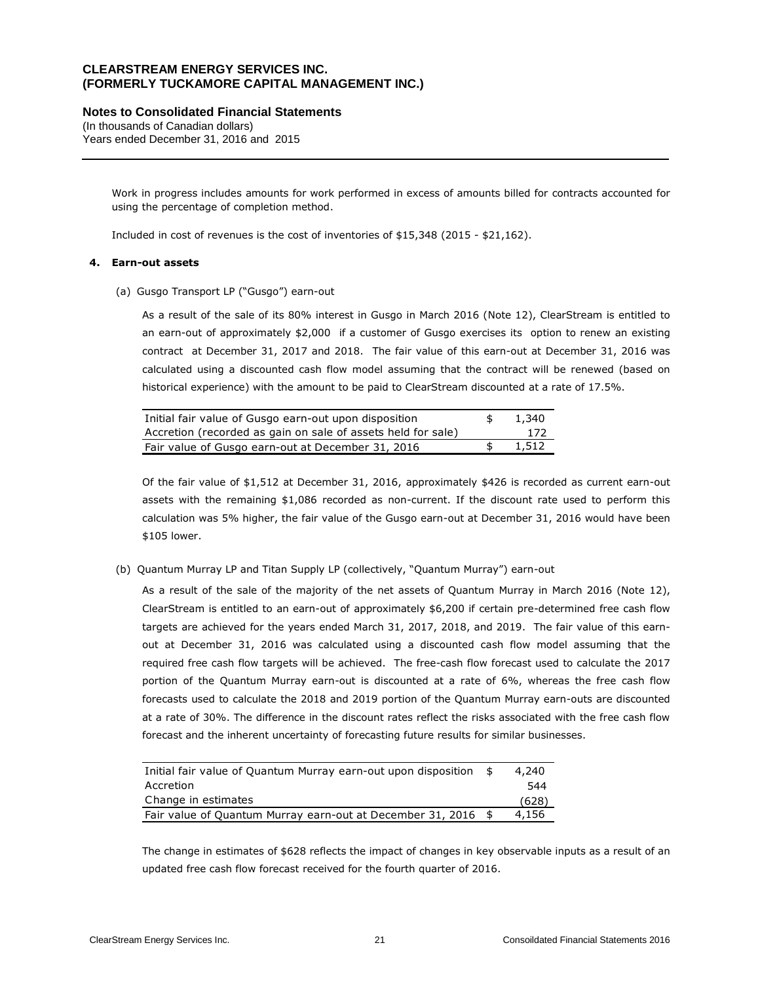## **Notes to Consolidated Financial Statements**

(In thousands of Canadian dollars) Years ended December 31, 2016 and 2015

> Work in progress includes amounts for work performed in excess of amounts billed for contracts accounted for using the percentage of completion method.

Included in cost of revenues is the cost of inventories of \$15,348 (2015 - \$21,162).

#### **4. Earn-out assets**

(a) Gusgo Transport LP ("Gusgo") earn-out

As a result of the sale of its 80% interest in Gusgo in March 2016 (Note 12), ClearStream is entitled to an earn-out of approximately \$2,000 if a customer of Gusgo exercises its option to renew an existing contract at December 31, 2017 and 2018. The fair value of this earn-out at December 31, 2016 was calculated using a discounted cash flow model assuming that the contract will be renewed (based on historical experience) with the amount to be paid to ClearStream discounted at a rate of 17.5%.

| Initial fair value of Gusgo earn-out upon disposition        | 1,340 |
|--------------------------------------------------------------|-------|
| Accretion (recorded as gain on sale of assets held for sale) | 172   |
| Fair value of Gusgo earn-out at December 31, 2016            | 1,512 |

Of the fair value of \$1,512 at December 31, 2016, approximately \$426 is recorded as current earn-out assets with the remaining \$1,086 recorded as non-current. If the discount rate used to perform this calculation was 5% higher, the fair value of the Gusgo earn-out at December 31, 2016 would have been \$105 lower.

(b) Quantum Murray LP and Titan Supply LP (collectively, "Quantum Murray") earn-out

As a result of the sale of the majority of the net assets of Quantum Murray in March 2016 (Note 12), ClearStream is entitled to an earn-out of approximately \$6,200 if certain pre-determined free cash flow targets are achieved for the years ended March 31, 2017, 2018, and 2019. The fair value of this earnout at December 31, 2016 was calculated using a discounted cash flow model assuming that the required free cash flow targets will be achieved. The free-cash flow forecast used to calculate the 2017 portion of the Quantum Murray earn-out is discounted at a rate of 6%, whereas the free cash flow forecasts used to calculate the 2018 and 2019 portion of the Quantum Murray earn-outs are discounted at a rate of 30%. The difference in the discount rates reflect the risks associated with the free cash flow forecast and the inherent uncertainty of forecasting future results for similar businesses.

| Initial fair value of Quantum Murray earn-out upon disposition \$ | 4,240 |
|-------------------------------------------------------------------|-------|
| Accretion                                                         | 544   |
| Change in estimates                                               | (628) |
| Fair value of Quantum Murray earn-out at December 31, 2016 \$     | 4,156 |

The change in estimates of \$628 reflects the impact of changes in key observable inputs as a result of an updated free cash flow forecast received for the fourth quarter of 2016.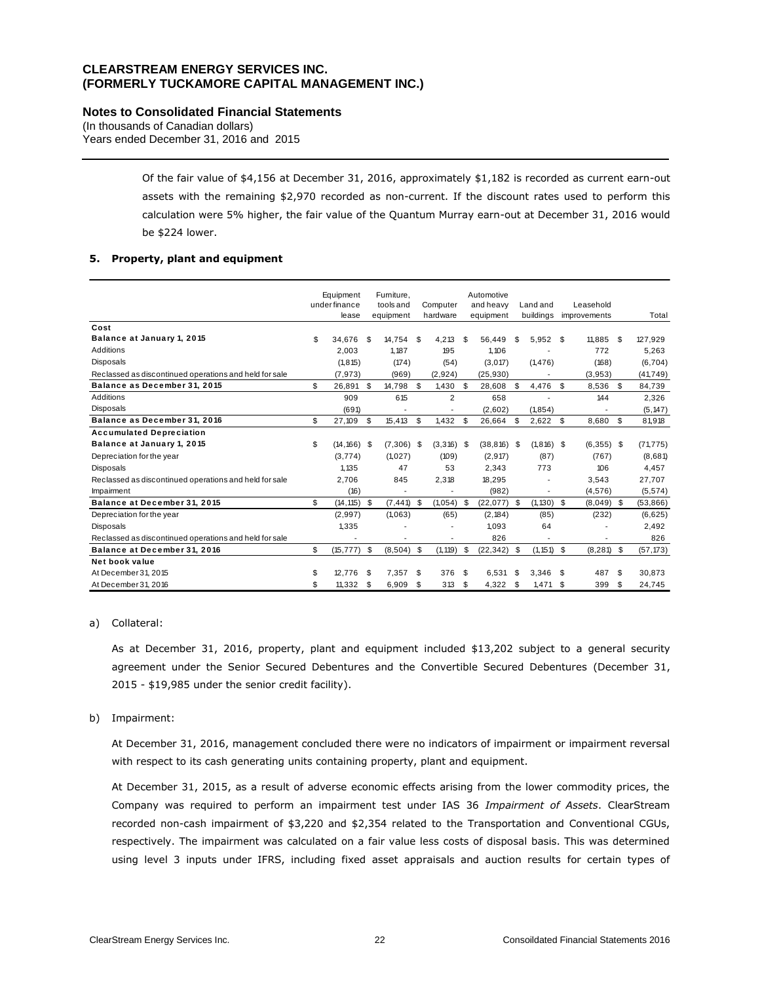### **Notes to Consolidated Financial Statements**

(In thousands of Canadian dollars) Years ended December 31, 2016 and 2015

> Of the fair value of \$4,156 at December 31, 2016, approximately \$1,182 is recorded as current earn-out assets with the remaining \$2,970 recorded as non-current. If the discount rates used to perform this calculation were 5% higher, the fair value of the Quantum Murray earn-out at December 31, 2016 would be \$224 lower.

#### **5. Property, plant and equipment**

|                                                        | Equipment |                |      | Furniture. |     | Automotive               |     |                |    |                |      |              |     |           |
|--------------------------------------------------------|-----------|----------------|------|------------|-----|--------------------------|-----|----------------|----|----------------|------|--------------|-----|-----------|
|                                                        |           | underfinance   |      | tools and  |     | Computer                 |     | and heavy      |    | Land and       |      | Leasehold    |     |           |
|                                                        |           | lease          |      | equipment  |     | hardware                 |     | equipment      |    | buildings      |      | improvements |     | Total     |
| Cost                                                   |           |                |      |            |     |                          |     |                |    |                |      |              |     |           |
| Balance at January 1, 2015                             | \$        | 34.676         | - \$ | 14.754     | S   | 4,213                    | \$  | 56.449         | \$ | $5.952$ \$     |      | 11.885       | \$  | 127.929   |
| Additions                                              |           | 2,003          |      | 1.187      |     | 195                      |     | 1.106          |    |                |      | 772          |     | 5,263     |
| Disposals                                              |           | (1, 815)       |      | (174)      |     | (54)                     |     | (3,017)        |    | (1, 476)       |      | (168)        |     | (6,704)   |
| Reclassed as discontinued operations and held for sale |           | (7, 973)       |      | (969)      |     | (2,924)                  |     | (25, 930)      |    |                |      | (3,953)      |     | (41,749)  |
| Balance as December 31, 2015                           | \$        | 26,891         | - \$ | 14,798     | \$. | 1,430                    | -\$ | 28,608         | \$ | 4,476 \$       |      | 8,536        | S.  | 84,739    |
| <b>Additions</b>                                       |           | 909            |      | 615        |     | $\overline{2}$           |     | 658            |    |                |      | 144          |     | 2,326     |
| <b>Disposals</b>                                       |           | (691)          |      |            |     | $\overline{\phantom{a}}$ |     | (2.602)        |    | (1.854)        |      |              |     | (5, 147)  |
| Balance as December 31, 2016                           | \$        | 27,109         | \$   | 15,413     | S   | 1,432                    | \$  | 26,664         | \$ | 2,622          | - \$ | 8,680        | \$  | 81,918    |
| <b>Accumulated Depreciation</b>                        |           |                |      |            |     |                          |     |                |    |                |      |              |     |           |
| Balance at January 1, 2015                             | \$        | $(14, 166)$ \$ |      | (7,306)    | \$  | $(3,316)$ \$             |     | $(38, 816)$ \$ |    | $(1,816)$ \$   |      | $(6,355)$ \$ |     | (71, 775) |
| Depreciation for the year                              |           | (3,774)        |      | (1,027)    |     | (109)                    |     | (2, 917)       |    | (87)           |      | (767)        |     | (8,681)   |
| <b>Disposals</b>                                       |           | 1,135          |      | 47         |     | 53                       |     | 2,343          |    | 773            |      | 106          |     | 4,457     |
| Reclassed as discontinued operations and held for sale |           | 2.706          |      | 845        |     | 2,318                    |     | 18.295         |    |                |      | 3.543        |     | 27.707    |
| Impairment                                             |           | (16)           |      | ٠          |     | $\blacksquare$           |     | (982)          |    | $\blacksquare$ |      | (4,576)      |     | (5, 574)  |
| Balance at December 31, 2015                           | \$        | (14, 115)      | - \$ | (7, 441)   | \$  | (1,054)                  | \$. | (22, 077)      | \$ | $(1, 130)$ \$  |      | (8,049)      | \$. | (53, 866) |
| Depreciation for the year                              |           | (2,997)        |      | (1,063)    |     | (65)                     |     | (2, 184)       |    | (85)           |      | (232)        |     | (6,625)   |
| <b>Disposals</b>                                       |           | 1,335          |      | -          |     | $\blacksquare$           |     | 1,093          |    | 64             |      |              |     | 2,492     |
| Reclassed as discontinued operations and held for sale |           |                |      | ٠          |     | $\blacksquare$           |     | 826            |    |                |      | ٠            |     | 826       |
| Balance at December 31, 2016                           | \$        | (15, 777)      | S    | (8.504)    | \$  | (1, 119)                 | S   | (22, 342)      | \$ | $(1, 151)$ \$  |      | (8, 281)     | \$  | (57, 173) |
| Net book value                                         |           |                |      |            |     |                          |     |                |    |                |      |              |     |           |
| At December 31, 2015                                   | \$        | 12.776         | \$   | 7.357      | S   | 376                      | \$  | 6.531          | Ŝ. | 3.346          | - \$ | 487          | S   | 30.873    |
| At December 31, 2016                                   | \$        | 11,332         | \$   | 6.909      | S   | 313                      | \$  | 4,322          | \$ | 1,471          | \$   | 399          | S   | 24,745    |

#### a) Collateral:

As at December 31, 2016, property, plant and equipment included \$13,202 subject to a general security agreement under the Senior Secured Debentures and the Convertible Secured Debentures (December 31, 2015 - \$19,985 under the senior credit facility).

#### b) Impairment:

At December 31, 2016, management concluded there were no indicators of impairment or impairment reversal with respect to its cash generating units containing property, plant and equipment.

At December 31, 2015, as a result of adverse economic effects arising from the lower commodity prices, the Company was required to perform an impairment test under IAS 36 *Impairment of Assets*. ClearStream recorded non-cash impairment of \$3,220 and \$2,354 related to the Transportation and Conventional CGUs, respectively. The impairment was calculated on a fair value less costs of disposal basis. This was determined using level 3 inputs under IFRS, including fixed asset appraisals and auction results for certain types of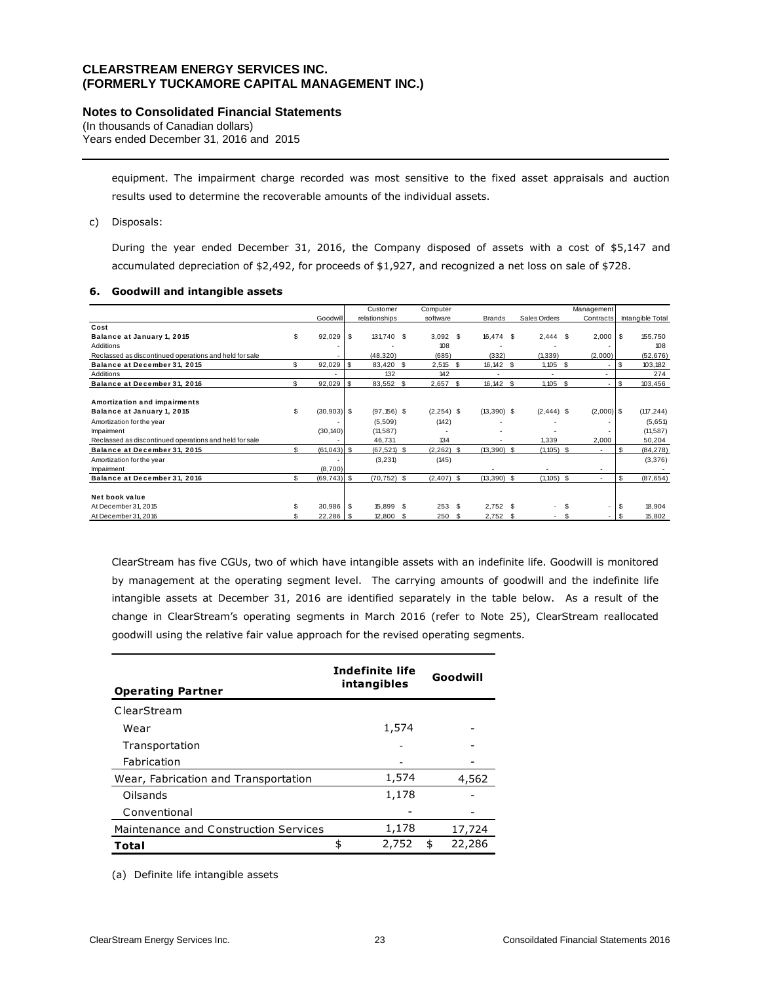# **Notes to Consolidated Financial Statements**

(In thousands of Canadian dollars) Years ended December 31, 2016 and 2015

> equipment. The impairment charge recorded was most sensitive to the fixed asset appraisals and auction results used to determine the recoverable amounts of the individual assets.

#### c) Disposals:

During the year ended December 31, 2016, the Company disposed of assets with a cost of \$5,147 and accumulated depreciation of \$2,492, for proceeds of \$1,927, and recognized a net loss on sale of \$728.

#### **6. Goodwill and intangible assets**

|                                                        |                      |                          | Customer       |      | Computer      |      |                          |          |               |    | Management               |    |                  |
|--------------------------------------------------------|----------------------|--------------------------|----------------|------|---------------|------|--------------------------|----------|---------------|----|--------------------------|----|------------------|
|                                                        | Goodwill             |                          | relationships  |      | software      |      | <b>Brands</b>            |          | Sales Orders  |    | Contracts                |    | Intangible Total |
| Cost                                                   |                      |                          |                |      |               |      |                          |          |               |    |                          |    |                  |
| Balance at January 1, 2015                             | \$<br>92,029         | $\overline{\phantom{a}}$ | 131,740 \$     |      | $3,092$ \$    |      | $16,474$ \$              |          | $2,444$ \$    |    | $2,000$ \$               |    | 155,750          |
| Additions                                              |                      |                          |                |      | 108           |      |                          |          |               |    |                          |    | 108              |
| Reclassed as discontinued operations and held for sale |                      |                          | (48, 320)      |      | (685)         |      | (332)                    |          | (1, 339)      |    | (2,000)                  |    | (52, 676)        |
| Balance at December 31, 2015                           | \$<br>92,029         | $\sqrt{3}$               | 83,420 \$      |      | 2,515         | - \$ | 16,142 \$                |          | $1,105$ \$    |    |                          | S  | 103,182          |
| Additions                                              |                      |                          | 132            |      | 142           |      |                          |          |               |    | ٠                        |    | 274              |
| Balance at December 31, 2016                           | \$<br>92,029         | <sup>\$</sup>            | 83,552 \$      |      | 2,657         | \$   | 16, 142                  | <b>S</b> | 1,105         | \$ |                          | \$ | 103,456          |
| Amortization and impairments                           |                      |                          |                |      |               |      |                          |          |               |    |                          |    |                  |
| Balance at January 1, 2015                             | \$<br>$(30,903)$ \$  |                          | $(97, 156)$ \$ |      | $(2,254)$ \$  |      | $(13,390)$ \$            |          | $(2,444)$ \$  |    | $(2,000)$ \$             |    | (117, 244)       |
| Amortization for the year                              |                      |                          | (5,509)        |      | (142)         |      |                          |          |               |    |                          |    | (5,651)          |
| Impairment                                             | (30, 140)            |                          | (11, 587)      |      |               |      |                          |          |               |    |                          |    | (11, 587)        |
| Reclassed as discontinued operations and held for sale |                      |                          | 46,731         |      | 134           |      |                          |          | 1.339         |    | 2,000                    |    | 50,204           |
| Balance at December 31, 2015                           | \$<br>$(61,043)$ \$  |                          | $(67, 521)$ \$ |      | $(2, 262)$ \$ |      | $(13, 390)$ \$           |          | $(1, 105)$ \$ |    |                          | \$ | (84, 278)        |
| Amortization for the year                              |                      |                          | (3, 231)       |      | (145)         |      |                          |          |               |    |                          |    | (3,376)          |
| Impairment                                             | (8,700)              |                          |                |      |               |      | $\overline{\phantom{a}}$ |          |               |    | $\overline{\phantom{a}}$ |    |                  |
| Balance at December 31, 2016                           | \$<br>$(69, 743)$ \$ |                          | $(70, 752)$ \$ |      | $(2,407)$ \$  |      | $(13,390)$ \$            |          | $(1, 105)$ \$ |    |                          | \$ | (87, 654)        |
| Net book value                                         |                      |                          |                |      |               |      |                          |          |               |    |                          |    |                  |
| At December 31, 2015                                   | \$<br>$30,986$ \ \$  |                          | 15,899         | - \$ | 253           | - \$ | $2.752$ \$               |          |               | S  |                          | \$ | 18,904           |
| At December 31, 2016                                   | 22,286               | $\overline{\phantom{a}}$ | 12,800         | \$   | 250           | £.   | $2,752$ \$               |          | . .           |    |                          | -S | 15,802           |

ClearStream has five CGUs, two of which have intangible assets with an indefinite life. Goodwill is monitored by management at the operating segment level. The carrying amounts of goodwill and the indefinite life intangible assets at December 31, 2016 are identified separately in the table below. As a result of the change in ClearStream's operating segments in March 2016 (refer to Note 25), ClearStream reallocated goodwill using the relative fair value approach for the revised operating segments.

| <b>Operating Partner</b>              | Indefinite life<br>intangibles |       | Goodwill     |
|---------------------------------------|--------------------------------|-------|--------------|
| ClearStream                           |                                |       |              |
| Wear                                  |                                | 1,574 |              |
| Transportation                        |                                |       |              |
| Fabrication                           |                                |       |              |
| Wear, Fabrication and Transportation  |                                | 1,574 | 4,562        |
| Oilsands                              |                                | 1,178 |              |
| Conventional                          |                                |       |              |
| Maintenance and Construction Services |                                | 1,178 | 17,724       |
| Total                                 | \$                             | 2,752 | \$<br>22,286 |

(a) Definite life intangible assets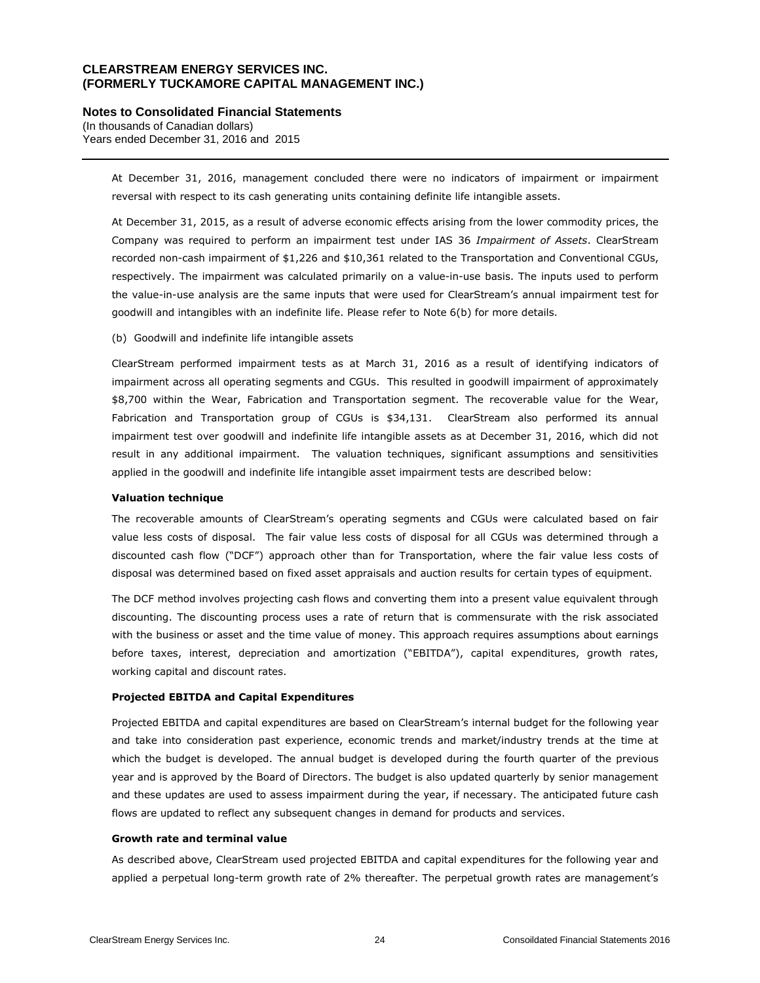### **Notes to Consolidated Financial Statements**

(In thousands of Canadian dollars) Years ended December 31, 2016 and 2015

> At December 31, 2016, management concluded there were no indicators of impairment or impairment reversal with respect to its cash generating units containing definite life intangible assets.

> At December 31, 2015, as a result of adverse economic effects arising from the lower commodity prices, the Company was required to perform an impairment test under IAS 36 *Impairment of Assets*. ClearStream recorded non-cash impairment of \$1,226 and \$10,361 related to the Transportation and Conventional CGUs, respectively. The impairment was calculated primarily on a value-in-use basis. The inputs used to perform the value-in-use analysis are the same inputs that were used for ClearStream's annual impairment test for goodwill and intangibles with an indefinite life. Please refer to Note 6(b) for more details.

(b) Goodwill and indefinite life intangible assets

ClearStream performed impairment tests as at March 31, 2016 as a result of identifying indicators of impairment across all operating segments and CGUs. This resulted in goodwill impairment of approximately \$8,700 within the Wear, Fabrication and Transportation segment. The recoverable value for the Wear, Fabrication and Transportation group of CGUs is \$34,131. ClearStream also performed its annual impairment test over goodwill and indefinite life intangible assets as at December 31, 2016, which did not result in any additional impairment. The valuation techniques, significant assumptions and sensitivities applied in the goodwill and indefinite life intangible asset impairment tests are described below:

## **Valuation technique**

The recoverable amounts of ClearStream's operating segments and CGUs were calculated based on fair value less costs of disposal. The fair value less costs of disposal for all CGUs was determined through a discounted cash flow ("DCF") approach other than for Transportation, where the fair value less costs of disposal was determined based on fixed asset appraisals and auction results for certain types of equipment.

The DCF method involves projecting cash flows and converting them into a present value equivalent through discounting. The discounting process uses a rate of return that is commensurate with the risk associated with the business or asset and the time value of money. This approach requires assumptions about earnings before taxes, interest, depreciation and amortization ("EBITDA"), capital expenditures, growth rates, working capital and discount rates.

#### **Projected EBITDA and Capital Expenditures**

Projected EBITDA and capital expenditures are based on ClearStream's internal budget for the following year and take into consideration past experience, economic trends and market/industry trends at the time at which the budget is developed. The annual budget is developed during the fourth quarter of the previous year and is approved by the Board of Directors. The budget is also updated quarterly by senior management and these updates are used to assess impairment during the year, if necessary. The anticipated future cash flows are updated to reflect any subsequent changes in demand for products and services.

#### **Growth rate and terminal value**

As described above, ClearStream used projected EBITDA and capital expenditures for the following year and applied a perpetual long-term growth rate of 2% thereafter. The perpetual growth rates are management's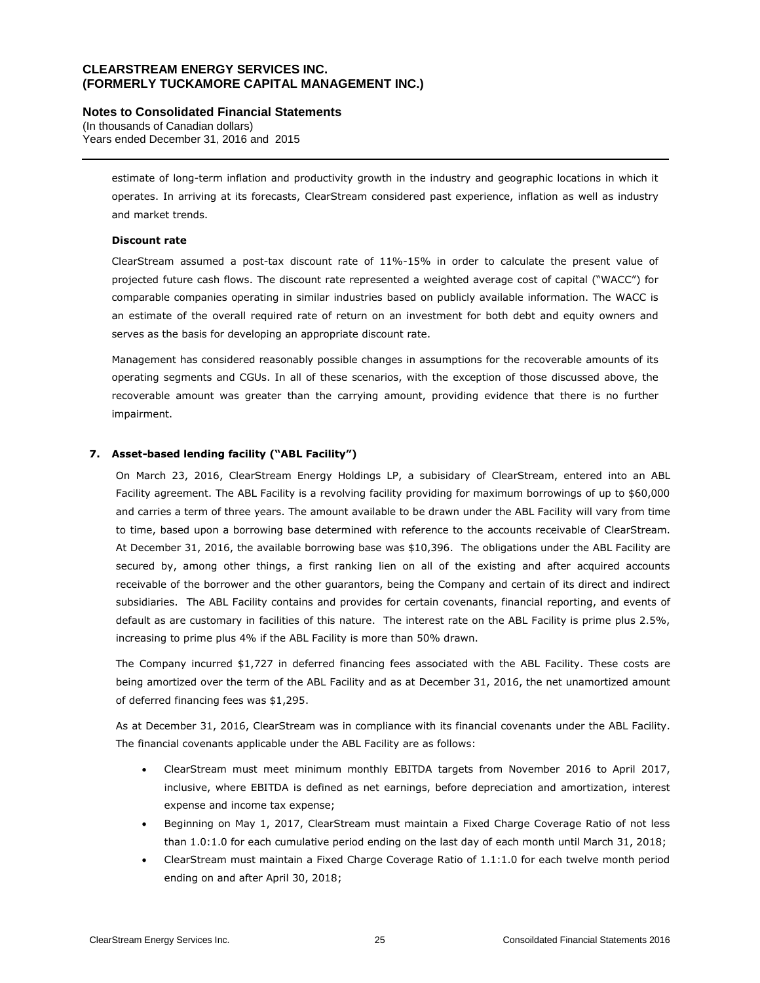### **Notes to Consolidated Financial Statements**

(In thousands of Canadian dollars) Years ended December 31, 2016 and 2015

> estimate of long-term inflation and productivity growth in the industry and geographic locations in which it operates. In arriving at its forecasts, ClearStream considered past experience, inflation as well as industry and market trends.

### **Discount rate**

ClearStream assumed a post-tax discount rate of 11%-15% in order to calculate the present value of projected future cash flows. The discount rate represented a weighted average cost of capital ("WACC") for comparable companies operating in similar industries based on publicly available information. The WACC is an estimate of the overall required rate of return on an investment for both debt and equity owners and serves as the basis for developing an appropriate discount rate.

Management has considered reasonably possible changes in assumptions for the recoverable amounts of its operating segments and CGUs. In all of these scenarios, with the exception of those discussed above, the recoverable amount was greater than the carrying amount, providing evidence that there is no further impairment.

## **7. Asset-based lending facility ("ABL Facility")**

On March 23, 2016, ClearStream Energy Holdings LP, a subisidary of ClearStream, entered into an ABL Facility agreement. The ABL Facility is a revolving facility providing for maximum borrowings of up to \$60,000 and carries a term of three years. The amount available to be drawn under the ABL Facility will vary from time to time, based upon a borrowing base determined with reference to the accounts receivable of ClearStream. At December 31, 2016, the available borrowing base was \$10,396. The obligations under the ABL Facility are secured by, among other things, a first ranking lien on all of the existing and after acquired accounts receivable of the borrower and the other guarantors, being the Company and certain of its direct and indirect subsidiaries. The ABL Facility contains and provides for certain covenants, financial reporting, and events of default as are customary in facilities of this nature. The interest rate on the ABL Facility is prime plus 2.5%, increasing to prime plus 4% if the ABL Facility is more than 50% drawn.

The Company incurred \$1,727 in deferred financing fees associated with the ABL Facility. These costs are being amortized over the term of the ABL Facility and as at December 31, 2016, the net unamortized amount of deferred financing fees was \$1,295.

As at December 31, 2016, ClearStream was in compliance with its financial covenants under the ABL Facility. The financial covenants applicable under the ABL Facility are as follows:

- ClearStream must meet minimum monthly EBITDA targets from November 2016 to April 2017, inclusive, where EBITDA is defined as net earnings, before depreciation and amortization, interest expense and income tax expense;
- Beginning on May 1, 2017, ClearStream must maintain a Fixed Charge Coverage Ratio of not less than 1.0:1.0 for each cumulative period ending on the last day of each month until March 31, 2018;
- ClearStream must maintain a Fixed Charge Coverage Ratio of 1.1:1.0 for each twelve month period ending on and after April 30, 2018;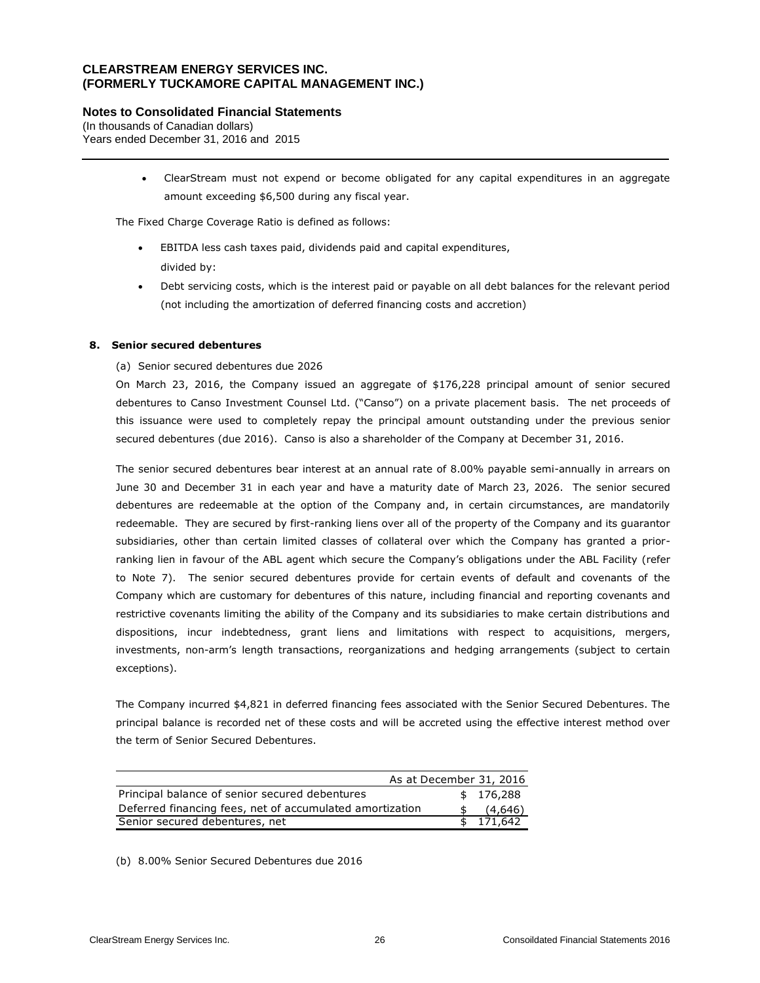## **Notes to Consolidated Financial Statements**

(In thousands of Canadian dollars) Years ended December 31, 2016 and 2015

> ClearStream must not expend or become obligated for any capital expenditures in an aggregate amount exceeding \$6,500 during any fiscal year.

The Fixed Charge Coverage Ratio is defined as follows:

- EBITDA less cash taxes paid, dividends paid and capital expenditures, divided by:
- Debt servicing costs, which is the interest paid or payable on all debt balances for the relevant period (not including the amortization of deferred financing costs and accretion)

## **8. Senior secured debentures**

(a) Senior secured debentures due 2026

On March 23, 2016, the Company issued an aggregate of \$176,228 principal amount of senior secured debentures to Canso Investment Counsel Ltd. ("Canso") on a private placement basis. The net proceeds of this issuance were used to completely repay the principal amount outstanding under the previous senior secured debentures (due 2016). Canso is also a shareholder of the Company at December 31, 2016.

The senior secured debentures bear interest at an annual rate of 8.00% payable semi-annually in arrears on June 30 and December 31 in each year and have a maturity date of March 23, 2026. The senior secured debentures are redeemable at the option of the Company and, in certain circumstances, are mandatorily redeemable. They are secured by first-ranking liens over all of the property of the Company and its guarantor subsidiaries, other than certain limited classes of collateral over which the Company has granted a priorranking lien in favour of the ABL agent which secure the Company's obligations under the ABL Facility (refer to Note 7). The senior secured debentures provide for certain events of default and covenants of the Company which are customary for debentures of this nature, including financial and reporting covenants and restrictive covenants limiting the ability of the Company and its subsidiaries to make certain distributions and dispositions, incur indebtedness, grant liens and limitations with respect to acquisitions, mergers, investments, non-arm's length transactions, reorganizations and hedging arrangements (subject to certain exceptions).

The Company incurred \$4,821 in deferred financing fees associated with the Senior Secured Debentures. The principal balance is recorded net of these costs and will be accreted using the effective interest method over the term of Senior Secured Debentures.

| As at December 31, 2016                                  |           |
|----------------------------------------------------------|-----------|
| Principal balance of senior secured debentures           | \$176,288 |
| Deferred financing fees, net of accumulated amortization | (4,646)   |
| Senior secured debentures, net                           | 171,642   |

(b) 8.00% Senior Secured Debentures due 2016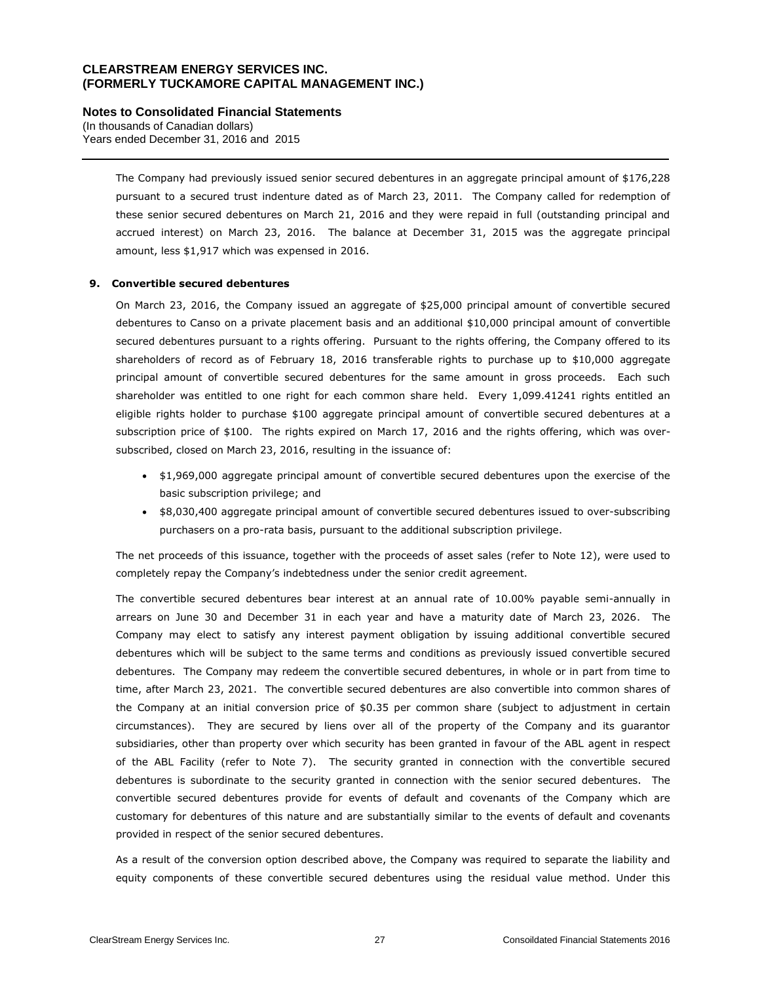### **Notes to Consolidated Financial Statements**

(In thousands of Canadian dollars) Years ended December 31, 2016 and 2015

> The Company had previously issued senior secured debentures in an aggregate principal amount of \$176,228 pursuant to a secured trust indenture dated as of March 23, 2011. The Company called for redemption of these senior secured debentures on March 21, 2016 and they were repaid in full (outstanding principal and accrued interest) on March 23, 2016. The balance at December 31, 2015 was the aggregate principal amount, less \$1,917 which was expensed in 2016.

### **9. Convertible secured debentures**

On March 23, 2016, the Company issued an aggregate of \$25,000 principal amount of convertible secured debentures to Canso on a private placement basis and an additional \$10,000 principal amount of convertible secured debentures pursuant to a rights offering. Pursuant to the rights offering, the Company offered to its shareholders of record as of February 18, 2016 transferable rights to purchase up to \$10,000 aggregate principal amount of convertible secured debentures for the same amount in gross proceeds. Each such shareholder was entitled to one right for each common share held. Every 1,099.41241 rights entitled an eligible rights holder to purchase \$100 aggregate principal amount of convertible secured debentures at a subscription price of \$100. The rights expired on March 17, 2016 and the rights offering, which was oversubscribed, closed on March 23, 2016, resulting in the issuance of:

- \$1,969,000 aggregate principal amount of convertible secured debentures upon the exercise of the basic subscription privilege; and
- \$8,030,400 aggregate principal amount of convertible secured debentures issued to over-subscribing purchasers on a pro-rata basis, pursuant to the additional subscription privilege.

The net proceeds of this issuance, together with the proceeds of asset sales (refer to Note 12), were used to completely repay the Company's indebtedness under the senior credit agreement.

The convertible secured debentures bear interest at an annual rate of 10.00% payable semi-annually in arrears on June 30 and December 31 in each year and have a maturity date of March 23, 2026. The Company may elect to satisfy any interest payment obligation by issuing additional convertible secured debentures which will be subject to the same terms and conditions as previously issued convertible secured debentures. The Company may redeem the convertible secured debentures, in whole or in part from time to time, after March 23, 2021. The convertible secured debentures are also convertible into common shares of the Company at an initial conversion price of \$0.35 per common share (subject to adjustment in certain circumstances). They are secured by liens over all of the property of the Company and its guarantor subsidiaries, other than property over which security has been granted in favour of the ABL agent in respect of the ABL Facility (refer to Note 7). The security granted in connection with the convertible secured debentures is subordinate to the security granted in connection with the senior secured debentures. The convertible secured debentures provide for events of default and covenants of the Company which are customary for debentures of this nature and are substantially similar to the events of default and covenants provided in respect of the senior secured debentures.

As a result of the conversion option described above, the Company was required to separate the liability and equity components of these convertible secured debentures using the residual value method. Under this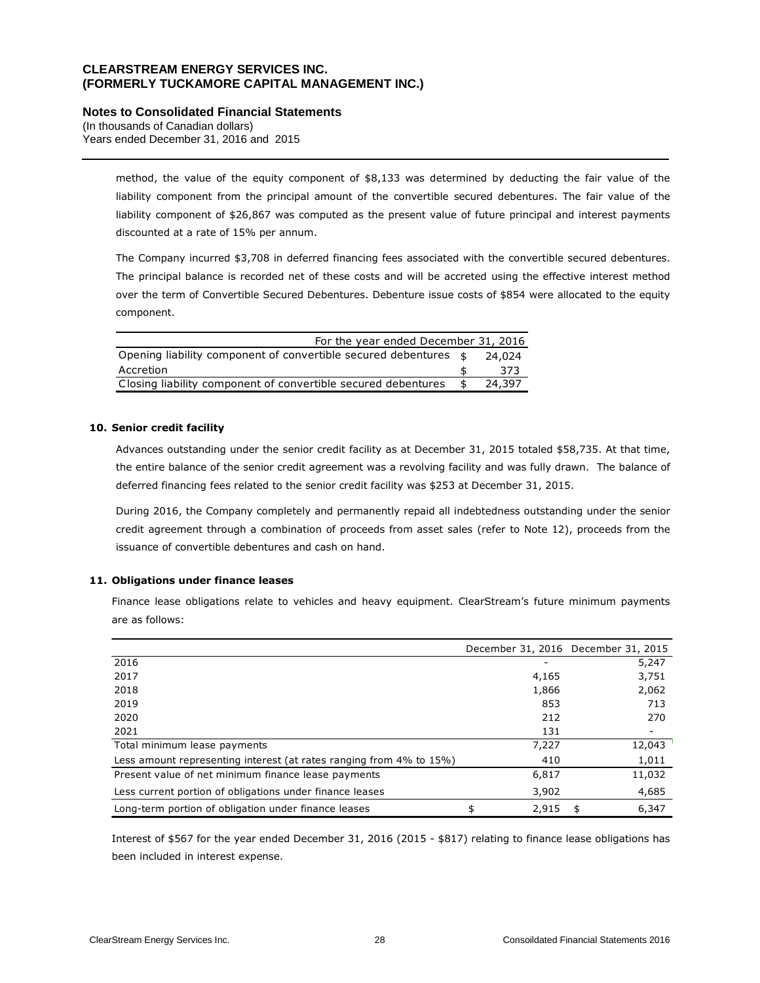### **Notes to Consolidated Financial Statements**

(In thousands of Canadian dollars) Years ended December 31, 2016 and 2015

> method, the value of the equity component of \$8,133 was determined by deducting the fair value of the liability component from the principal amount of the convertible secured debentures. The fair value of the liability component of \$26,867 was computed as the present value of future principal and interest payments discounted at a rate of 15% per annum.

> The Company incurred \$3,708 in deferred financing fees associated with the convertible secured debentures. The principal balance is recorded net of these costs and will be accreted using the effective interest method over the term of Convertible Secured Debentures. Debenture issue costs of \$854 were allocated to the equity component.

| For the year ended December 31, 2016                                 |        |
|----------------------------------------------------------------------|--------|
| Opening liability component of convertible secured debentures \ \ \; | 24.024 |
| Accretion                                                            | 373    |
| Closing liability component of convertible secured debentures        | 24,397 |

### **10. Senior credit facility**

Advances outstanding under the senior credit facility as at December 31, 2015 totaled \$58,735. At that time, the entire balance of the senior credit agreement was a revolving facility and was fully drawn. The balance of deferred financing fees related to the senior credit facility was \$253 at December 31, 2015.

During 2016, the Company completely and permanently repaid all indebtedness outstanding under the senior credit agreement through a combination of proceeds from asset sales (refer to Note 12), proceeds from the issuance of convertible debentures and cash on hand.

## **11. Obligations under finance leases**

Finance lease obligations relate to vehicles and heavy equipment. ClearStream's future minimum payments are as follows:

|                                                                     |             | December 31, 2016 December 31, 2015 |
|---------------------------------------------------------------------|-------------|-------------------------------------|
| 2016                                                                |             | 5,247                               |
| 2017                                                                | 4,165       | 3,751                               |
| 2018                                                                | 1,866       | 2,062                               |
| 2019                                                                | 853         | 713                                 |
| 2020                                                                | 212         | 270                                 |
| 2021                                                                | 131         |                                     |
| Total minimum lease payments                                        | 7,227       | 12,043                              |
| Less amount representing interest (at rates ranging from 4% to 15%) | 410         | 1,011                               |
| Present value of net minimum finance lease payments                 | 6,817       | 11,032                              |
| Less current portion of obligations under finance leases            | 3,902       | 4,685                               |
| Long-term portion of obligation under finance leases                | 2,915<br>\$ | 6,347<br>\$                         |

Interest of \$567 for the year ended December 31, 2016 (2015 - \$817) relating to finance lease obligations has been included in interest expense.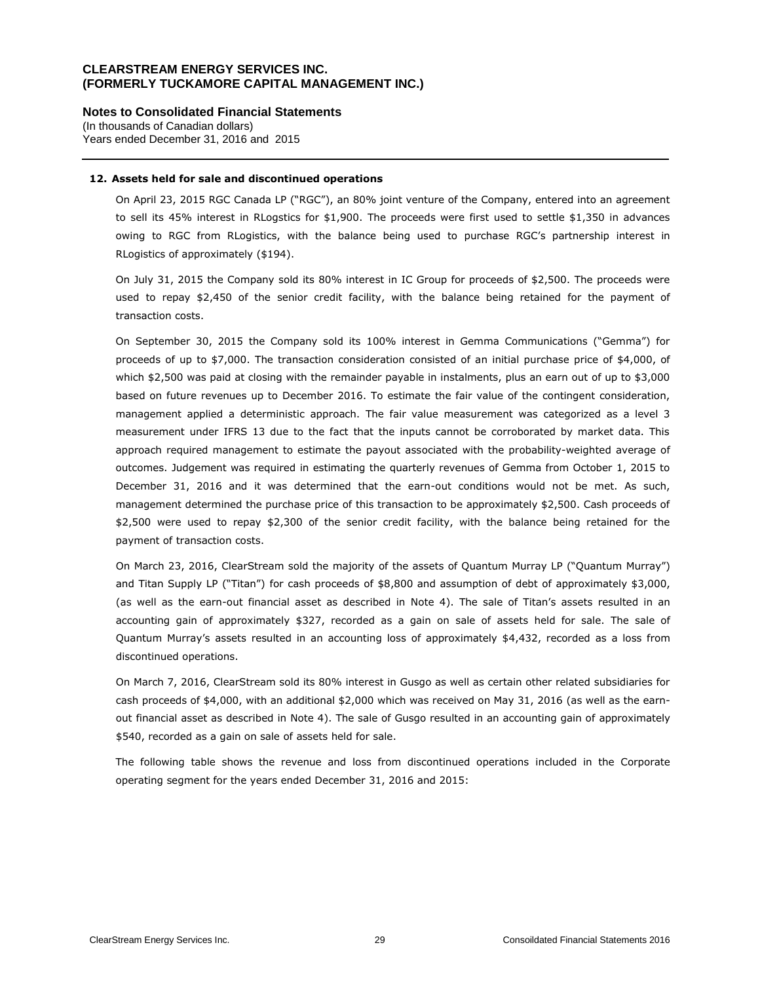### **Notes to Consolidated Financial Statements**

(In thousands of Canadian dollars) Years ended December 31, 2016 and 2015

#### **12. Assets held for sale and discontinued operations**

On April 23, 2015 RGC Canada LP ("RGC"), an 80% joint venture of the Company, entered into an agreement to sell its 45% interest in RLogstics for \$1,900. The proceeds were first used to settle \$1,350 in advances owing to RGC from RLogistics, with the balance being used to purchase RGC's partnership interest in RLogistics of approximately (\$194).

On July 31, 2015 the Company sold its 80% interest in IC Group for proceeds of \$2,500. The proceeds were used to repay \$2,450 of the senior credit facility, with the balance being retained for the payment of transaction costs.

On September 30, 2015 the Company sold its 100% interest in Gemma Communications ("Gemma") for proceeds of up to \$7,000. The transaction consideration consisted of an initial purchase price of \$4,000, of which \$2,500 was paid at closing with the remainder payable in instalments, plus an earn out of up to \$3,000 based on future revenues up to December 2016. To estimate the fair value of the contingent consideration, management applied a deterministic approach. The fair value measurement was categorized as a level 3 measurement under IFRS 13 due to the fact that the inputs cannot be corroborated by market data. This approach required management to estimate the payout associated with the probability-weighted average of outcomes. Judgement was required in estimating the quarterly revenues of Gemma from October 1, 2015 to December 31, 2016 and it was determined that the earn-out conditions would not be met. As such, management determined the purchase price of this transaction to be approximately \$2,500. Cash proceeds of \$2,500 were used to repay \$2,300 of the senior credit facility, with the balance being retained for the payment of transaction costs.

On March 23, 2016, ClearStream sold the majority of the assets of Quantum Murray LP ("Quantum Murray") and Titan Supply LP ("Titan") for cash proceeds of \$8,800 and assumption of debt of approximately \$3,000, (as well as the earn-out financial asset as described in Note 4). The sale of Titan's assets resulted in an accounting gain of approximately \$327, recorded as a gain on sale of assets held for sale. The sale of Quantum Murray's assets resulted in an accounting loss of approximately \$4,432, recorded as a loss from discontinued operations.

On March 7, 2016, ClearStream sold its 80% interest in Gusgo as well as certain other related subsidiaries for cash proceeds of \$4,000, with an additional \$2,000 which was received on May 31, 2016 (as well as the earnout financial asset as described in Note 4). The sale of Gusgo resulted in an accounting gain of approximately \$540, recorded as a gain on sale of assets held for sale.

The following table shows the revenue and loss from discontinued operations included in the Corporate operating segment for the years ended December 31, 2016 and 2015: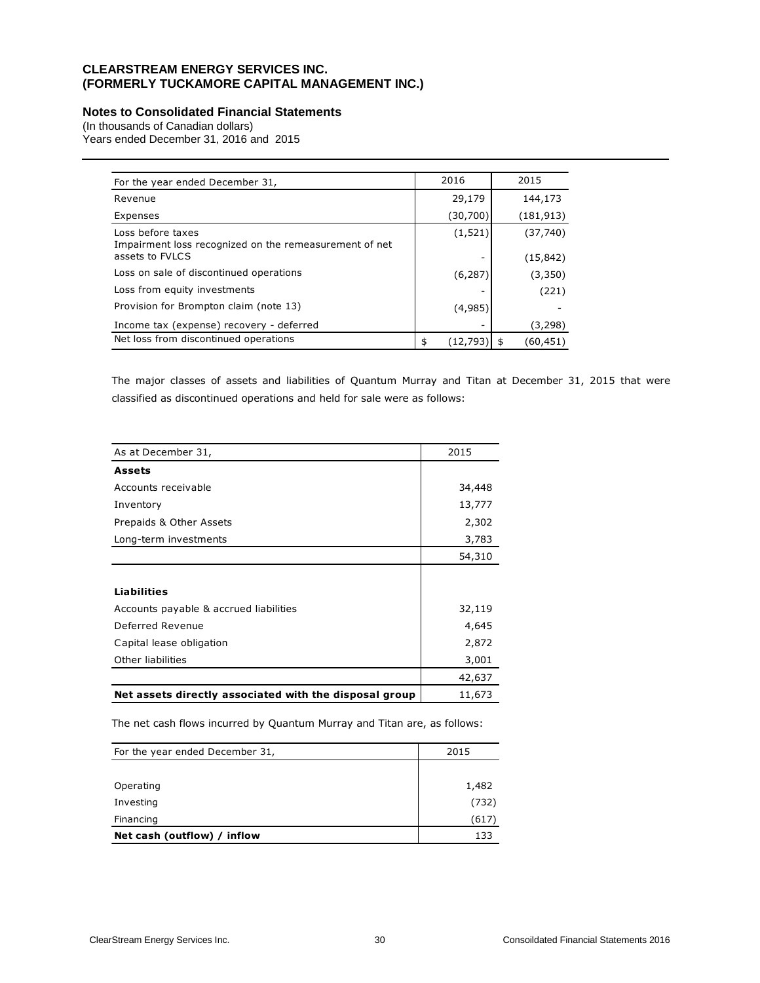# **Notes to Consolidated Financial Statements**

(In thousands of Canadian dollars) Years ended December 31, 2016 and 2015

| For the year ended December 31,                                                                | 2016           | 2015                  |
|------------------------------------------------------------------------------------------------|----------------|-----------------------|
| Revenue                                                                                        | 29,179         | 144,173               |
| Expenses                                                                                       | (30,700)       | (181, 913)            |
| Loss before taxes<br>Impairment loss recognized on the remeasurement of net<br>assets to FVLCS | (1, 521)       | (37,740)<br>(15, 842) |
| Loss on sale of discontinued operations                                                        | (6, 287)       | (3,350)               |
| Loss from equity investments                                                                   |                | (221)                 |
| Provision for Brompton claim (note 13)                                                         | (4,985)        |                       |
| Income tax (expense) recovery - deferred                                                       |                | (3,298)               |
| Net loss from discontinued operations                                                          | \$<br>(12,793) | (60,451)              |

The major classes of assets and liabilities of Quantum Murray and Titan at December 31, 2015 that were classified as discontinued operations and held for sale were as follows:

| As at December 31,                                     | 2015   |
|--------------------------------------------------------|--------|
| <b>Assets</b>                                          |        |
| Accounts receivable                                    | 34,448 |
| Inventory                                              | 13,777 |
| Prepaids & Other Assets                                | 2,302  |
| Long-term investments                                  | 3,783  |
|                                                        | 54,310 |
|                                                        |        |
| <b>Liabilities</b>                                     |        |
| Accounts payable & accrued liabilities                 | 32,119 |
| Deferred Revenue                                       | 4,645  |
| Capital lease obligation                               | 2,872  |
| Other liabilities                                      | 3,001  |
|                                                        | 42,637 |
| Net assets directly associated with the disposal group | 11,673 |

The net cash flows incurred by Quantum Murray and Titan are, as follows:

| For the year ended December 31, | 2015  |
|---------------------------------|-------|
|                                 |       |
| Operating                       | 1,482 |
| Investing                       | (732) |
| Financing                       | (617) |
| Net cash (outflow) / inflow     | 133   |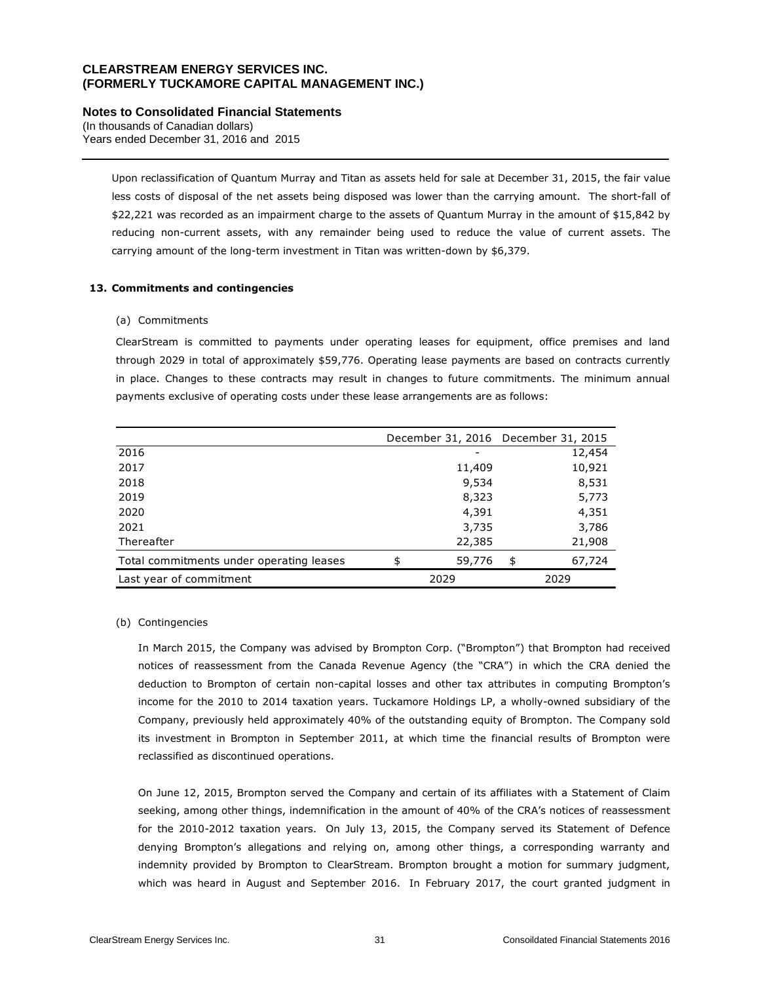### **Notes to Consolidated Financial Statements**

(In thousands of Canadian dollars) Years ended December 31, 2016 and 2015

> Upon reclassification of Quantum Murray and Titan as assets held for sale at December 31, 2015, the fair value less costs of disposal of the net assets being disposed was lower than the carrying amount. The short-fall of \$22,221 was recorded as an impairment charge to the assets of Quantum Murray in the amount of \$15,842 by reducing non-current assets, with any remainder being used to reduce the value of current assets. The carrying amount of the long-term investment in Titan was written-down by \$6,379.

### **13. Commitments and contingencies**

#### (a) Commitments

ClearStream is committed to payments under operating leases for equipment, office premises and land through 2029 in total of approximately \$59,776. Operating lease payments are based on contracts currently in place. Changes to these contracts may result in changes to future commitments. The minimum annual payments exclusive of operating costs under these lease arrangements are as follows:

|                                          |              | December 31, 2016 December 31, 2015 |
|------------------------------------------|--------------|-------------------------------------|
| 2016                                     |              | 12,454                              |
| 2017                                     | 11,409       | 10,921                              |
| 2018                                     | 9,534        | 8,531                               |
| 2019                                     | 8,323        | 5,773                               |
| 2020                                     | 4,391        | 4,351                               |
| 2021                                     | 3,735        | 3,786                               |
| Thereafter                               | 22,385       | 21,908                              |
| Total commitments under operating leases | \$<br>59,776 | 67,724<br>\$                        |
| Last year of commitment                  | 2029         | 2029                                |

## (b) Contingencies

In March 2015, the Company was advised by Brompton Corp. ("Brompton") that Brompton had received notices of reassessment from the Canada Revenue Agency (the "CRA") in which the CRA denied the deduction to Brompton of certain non-capital losses and other tax attributes in computing Brompton's income for the 2010 to 2014 taxation years. Tuckamore Holdings LP, a wholly-owned subsidiary of the Company, previously held approximately 40% of the outstanding equity of Brompton. The Company sold its investment in Brompton in September 2011, at which time the financial results of Brompton were reclassified as discontinued operations.

On June 12, 2015, Brompton served the Company and certain of its affiliates with a Statement of Claim seeking, among other things, indemnification in the amount of 40% of the CRA's notices of reassessment for the 2010-2012 taxation years. On July 13, 2015, the Company served its Statement of Defence denying Brompton's allegations and relying on, among other things, a corresponding warranty and indemnity provided by Brompton to ClearStream. Brompton brought a motion for summary judgment, which was heard in August and September 2016. In February 2017, the court granted judgment in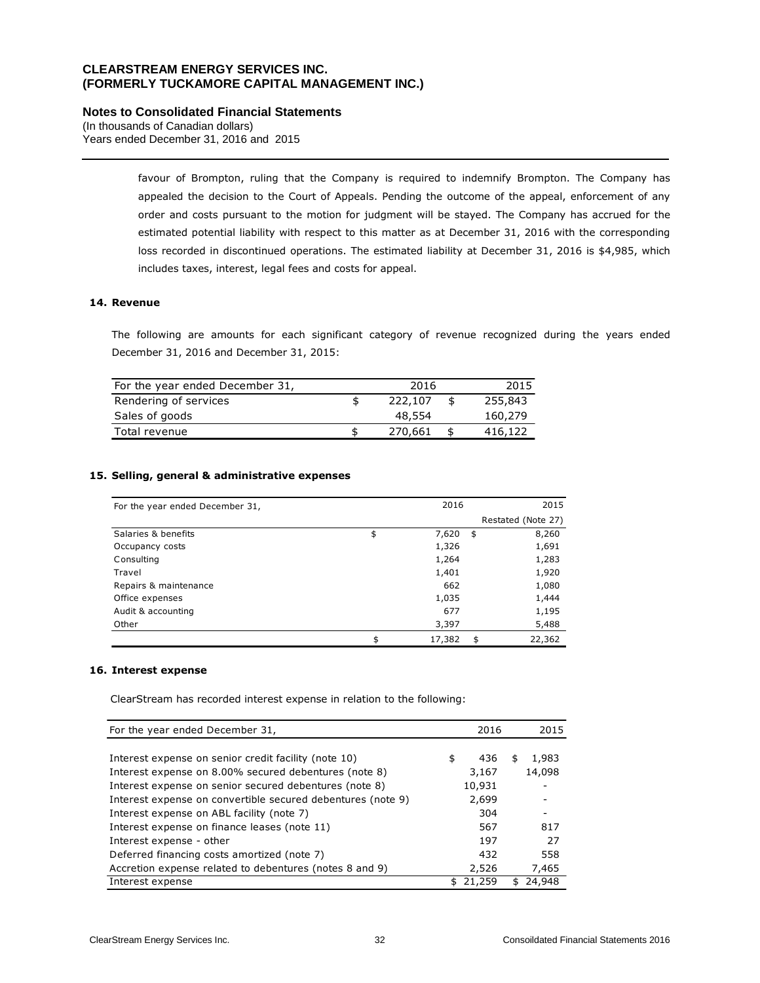### **Notes to Consolidated Financial Statements**

(In thousands of Canadian dollars) Years ended December 31, 2016 and 2015

> favour of Brompton, ruling that the Company is required to indemnify Brompton. The Company has appealed the decision to the Court of Appeals. Pending the outcome of the appeal, enforcement of any order and costs pursuant to the motion for judgment will be stayed. The Company has accrued for the estimated potential liability with respect to this matter as at December 31, 2016 with the corresponding loss recorded in discontinued operations. The estimated liability at December 31, 2016 is \$4,985, which includes taxes, interest, legal fees and costs for appeal.

### **14. Revenue**

The following are amounts for each significant category of revenue recognized during the years ended December 31, 2016 and December 31, 2015:

| For the year ended December 31, | 2016    | 2015    |
|---------------------------------|---------|---------|
| Rendering of services           | 222,107 | 255,843 |
| Sales of goods                  | 48,554  | 160,279 |
| Total revenue                   | 270,661 | 416,122 |

## **15. Selling, general & administrative expenses**

| For the year ended December 31, | 2016         | 2015               |
|---------------------------------|--------------|--------------------|
|                                 |              | Restated (Note 27) |
| Salaries & benefits             | \$<br>7,620  | \$<br>8,260        |
| Occupancy costs                 | 1,326        | 1,691              |
| Consulting                      | 1,264        | 1,283              |
| Travel                          | 1,401        | 1,920              |
| Repairs & maintenance           | 662          | 1,080              |
| Office expenses                 | 1,035        | 1,444              |
| Audit & accounting              | 677          | 1,195              |
| Other                           | 3,397        | 5,488              |
|                                 | \$<br>17,382 | \$<br>22,362       |

#### **16. Interest expense**

ClearStream has recorded interest expense in relation to the following:

| For the year ended December 31,                             | 2016         |     | 2015   |
|-------------------------------------------------------------|--------------|-----|--------|
|                                                             |              |     |        |
| Interest expense on senior credit facility (note 10)        | \$<br>436    | \$  | 1,983  |
| Interest expense on 8.00% secured debentures (note 8)       | 3,167        |     | 14,098 |
| Interest expense on senior secured debentures (note 8)      | 10,931       |     |        |
| Interest expense on convertible secured debentures (note 9) | 2,699        |     |        |
| Interest expense on ABL facility (note 7)                   | 304          |     |        |
| Interest expense on finance leases (note 11)                | 567          |     | 817    |
| Interest expense - other                                    | 197          |     | 27     |
| Deferred financing costs amortized (note 7)                 | 432          |     | 558    |
| Accretion expense related to debentures (notes 8 and 9)     | 2,526        |     | 7,465  |
| Interest expense                                            | \$<br>21,259 | \$. | 24,948 |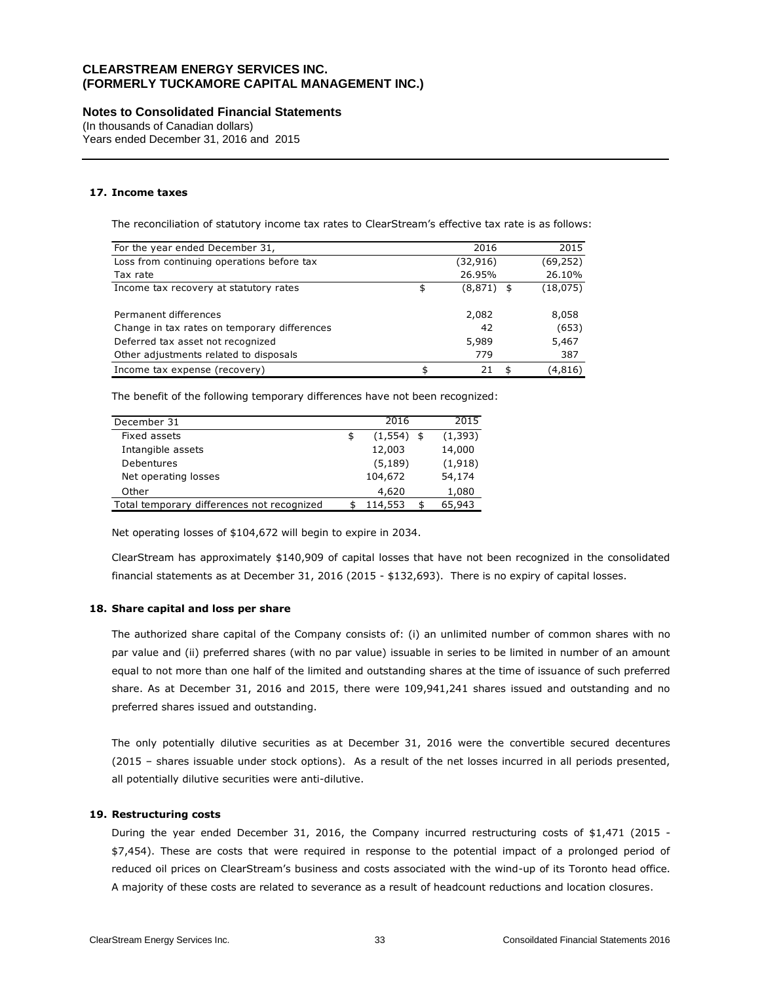### **Notes to Consolidated Financial Statements**

(In thousands of Canadian dollars) Years ended December 31, 2016 and 2015

#### **17. Income taxes**

The reconciliation of statutory income tax rates to ClearStream's effective tax rate is as follows:

| For the year ended December 31,              | 2016               |   | 2015      |
|----------------------------------------------|--------------------|---|-----------|
| Loss from continuing operations before tax   | (32, 916)          |   | (69, 252) |
| Tax rate                                     | 26.95%             |   | 26.10%    |
| Income tax recovery at statutory rates       | \$<br>$(8,871)$ \$ |   | (18, 075) |
| Permanent differences                        | 2,082              |   | 8,058     |
| Change in tax rates on temporary differences | 42                 |   | (653)     |
| Deferred tax asset not recognized            | 5,989              |   | 5,467     |
| Other adjustments related to disposals       | 779                |   | 387       |
| Income tax expense (recovery)                | 21                 | S | (4,816)   |

The benefit of the following temporary differences have not been recognized:

| December 31                                | 2016           |      | 2015     |
|--------------------------------------------|----------------|------|----------|
| Fixed assets                               | \$<br>(1, 554) | - \$ | (1, 393) |
| Intangible assets                          | 12,003         |      | 14,000   |
| Debentures                                 | (5, 189)       |      | (1,918)  |
| Net operating losses                       | 104,672        |      | 54,174   |
| Other                                      | 4,620          |      | 1,080    |
| Total temporary differences not recognized | 114,553        | £.   | 65,943   |

Net operating losses of \$104,672 will begin to expire in 2034.

ClearStream has approximately \$140,909 of capital losses that have not been recognized in the consolidated financial statements as at December 31, 2016 (2015 - \$132,693). There is no expiry of capital losses.

#### **18. Share capital and loss per share**

The authorized share capital of the Company consists of: (i) an unlimited number of common shares with no par value and (ii) preferred shares (with no par value) issuable in series to be limited in number of an amount equal to not more than one half of the limited and outstanding shares at the time of issuance of such preferred share. As at December 31, 2016 and 2015, there were 109,941,241 shares issued and outstanding and no preferred shares issued and outstanding.

The only potentially dilutive securities as at December 31, 2016 were the convertible secured decentures (2015 – shares issuable under stock options). As a result of the net losses incurred in all periods presented, all potentially dilutive securities were anti-dilutive.

#### **19. Restructuring costs**

During the year ended December 31, 2016, the Company incurred restructuring costs of \$1,471 (2015 - \$7,454). These are costs that were required in response to the potential impact of a prolonged period of reduced oil prices on ClearStream's business and costs associated with the wind-up of its Toronto head office. A majority of these costs are related to severance as a result of headcount reductions and location closures.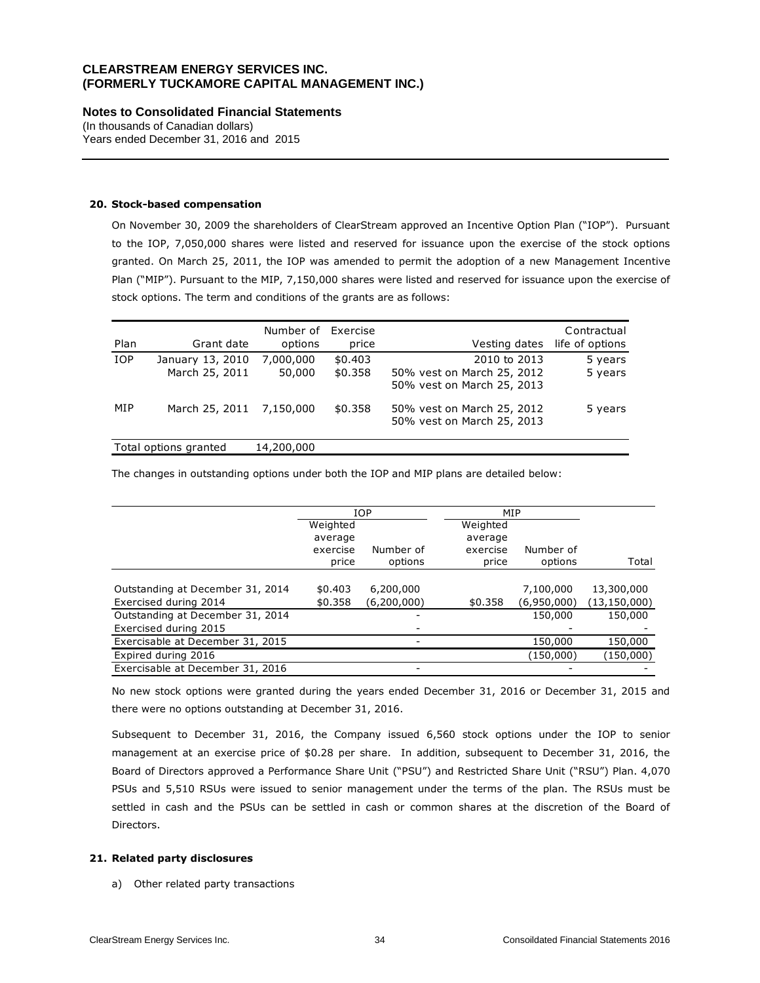### **Notes to Consolidated Financial Statements**

(In thousands of Canadian dollars) Years ended December 31, 2016 and 2015

#### **20. Stock-based compensation**

On November 30, 2009 the shareholders of ClearStream approved an Incentive Option Plan ("IOP"). Pursuant to the IOP, 7,050,000 shares were listed and reserved for issuance upon the exercise of the stock options granted. On March 25, 2011, the IOP was amended to permit the adoption of a new Management Incentive Plan ("MIP"). Pursuant to the MIP, 7,150,000 shares were listed and reserved for issuance upon the exercise of stock options. The term and conditions of the grants are as follows:

| Plan                  | Grant date                         | Number of<br>options | Exercise<br>price  | Vesting dates                                                            | Contractual<br>life of options |
|-----------------------|------------------------------------|----------------------|--------------------|--------------------------------------------------------------------------|--------------------------------|
| <b>IOP</b>            | January 13, 2010<br>March 25, 2011 | 7,000,000<br>50,000  | \$0.403<br>\$0.358 | 2010 to 2013<br>50% vest on March 25, 2012<br>50% vest on March 25, 2013 | 5 years<br>5 years             |
| MIP                   | March 25, 2011                     | 7,150,000            | \$0.358            | 50% vest on March 25, 2012<br>50% vest on March 25, 2013                 | 5 years                        |
| Total options granted |                                    | 14,200,000           |                    |                                                                          |                                |

The changes in outstanding options under both the IOP and MIP plans are detailed below:

|                                  |          | <b>IOP</b>  |          | MIP         |                |  |  |
|----------------------------------|----------|-------------|----------|-------------|----------------|--|--|
|                                  | Weighted |             | Weighted |             |                |  |  |
|                                  | average  |             | average  |             |                |  |  |
|                                  | exercise | Number of   | exercise | Number of   |                |  |  |
|                                  | price    | options     | price    | options     | Total          |  |  |
|                                  |          |             |          |             |                |  |  |
| Outstanding at December 31, 2014 | \$0.403  | 6,200,000   |          | 7,100,000   | 13,300,000     |  |  |
| Exercised during 2014            | \$0.358  | (6,200,000) | \$0.358  | (6,950,000) | (13, 150, 000) |  |  |
| Outstanding at December 31, 2014 |          |             |          | 150,000     | 150,000        |  |  |
| Exercised during 2015            |          |             |          |             |                |  |  |
| Exercisable at December 31, 2015 |          |             |          | 150,000     | 150,000        |  |  |
| Expired during 2016              |          |             |          | (150,000)   | (150,000)      |  |  |
| Exercisable at December 31, 2016 |          |             |          |             |                |  |  |

No new stock options were granted during the years ended December 31, 2016 or December 31, 2015 and there were no options outstanding at December 31, 2016.

Subsequent to December 31, 2016, the Company issued 6,560 stock options under the IOP to senior management at an exercise price of \$0.28 per share. In addition, subsequent to December 31, 2016, the Board of Directors approved a Performance Share Unit ("PSU") and Restricted Share Unit ("RSU") Plan. 4,070 PSUs and 5,510 RSUs were issued to senior management under the terms of the plan. The RSUs must be settled in cash and the PSUs can be settled in cash or common shares at the discretion of the Board of Directors.

## **21. Related party disclosures**

a) Other related party transactions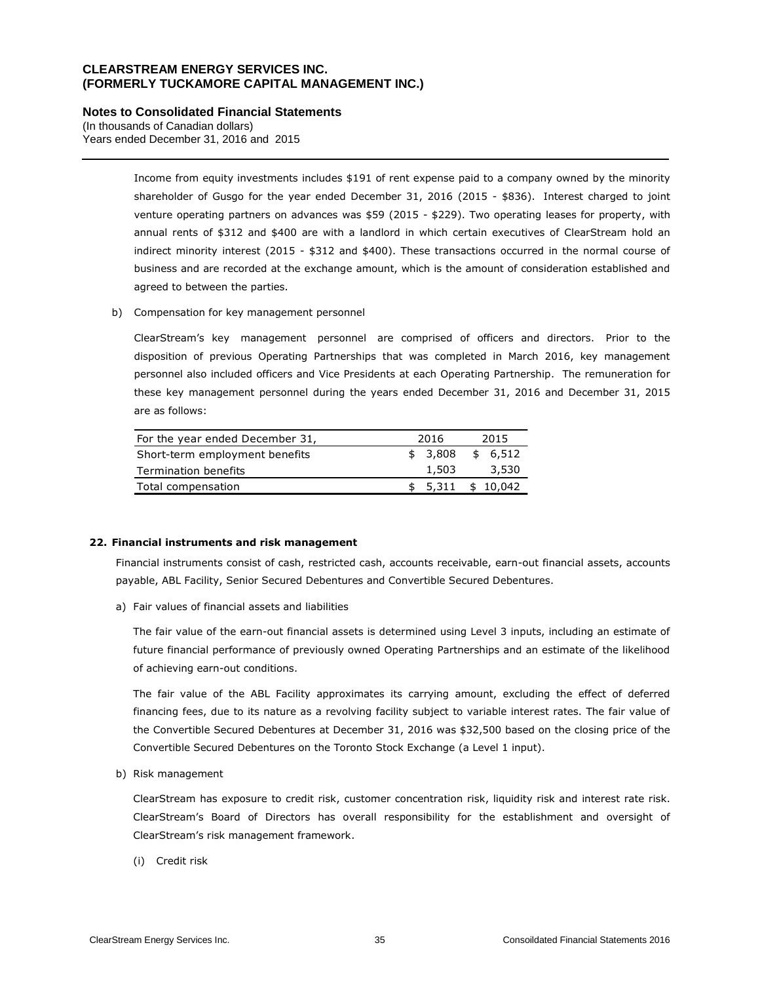### **Notes to Consolidated Financial Statements**

(In thousands of Canadian dollars) Years ended December 31, 2016 and 2015

> Income from equity investments includes \$191 of rent expense paid to a company owned by the minority shareholder of Gusgo for the year ended December 31, 2016 (2015 - \$836). Interest charged to joint venture operating partners on advances was \$59 (2015 - \$229). Two operating leases for property, with annual rents of \$312 and \$400 are with a landlord in which certain executives of ClearStream hold an indirect minority interest (2015 - \$312 and \$400). These transactions occurred in the normal course of business and are recorded at the exchange amount, which is the amount of consideration established and agreed to between the parties.

b) Compensation for key management personnel

ClearStream's key management personnel are comprised of officers and directors. Prior to the disposition of previous Operating Partnerships that was completed in March 2016, key management personnel also included officers and Vice Presidents at each Operating Partnership. The remuneration for these key management personnel during the years ended December 31, 2016 and December 31, 2015 are as follows:

| For the year ended December 31, | 2016 |                     |  | 2015     |  |
|---------------------------------|------|---------------------|--|----------|--|
| Short-term employment benefits  |      | \$3,808             |  | \$6,512  |  |
| Termination benefits            |      | 1,503               |  | 3,530    |  |
| Total compensation              |      | $\frac{1}{2}$ 5.311 |  | \$10.042 |  |

## **22. Financial instruments and risk management**

Financial instruments consist of cash, restricted cash, accounts receivable, earn-out financial assets, accounts payable, ABL Facility, Senior Secured Debentures and Convertible Secured Debentures.

a) Fair values of financial assets and liabilities

The fair value of the earn-out financial assets is determined using Level 3 inputs, including an estimate of future financial performance of previously owned Operating Partnerships and an estimate of the likelihood of achieving earn-out conditions.

The fair value of the ABL Facility approximates its carrying amount, excluding the effect of deferred financing fees, due to its nature as a revolving facility subject to variable interest rates. The fair value of the Convertible Secured Debentures at December 31, 2016 was \$32,500 based on the closing price of the Convertible Secured Debentures on the Toronto Stock Exchange (a Level 1 input).

b) Risk management

ClearStream has exposure to credit risk, customer concentration risk, liquidity risk and interest rate risk. ClearStream's Board of Directors has overall responsibility for the establishment and oversight of ClearStream's risk management framework.

(i) Credit risk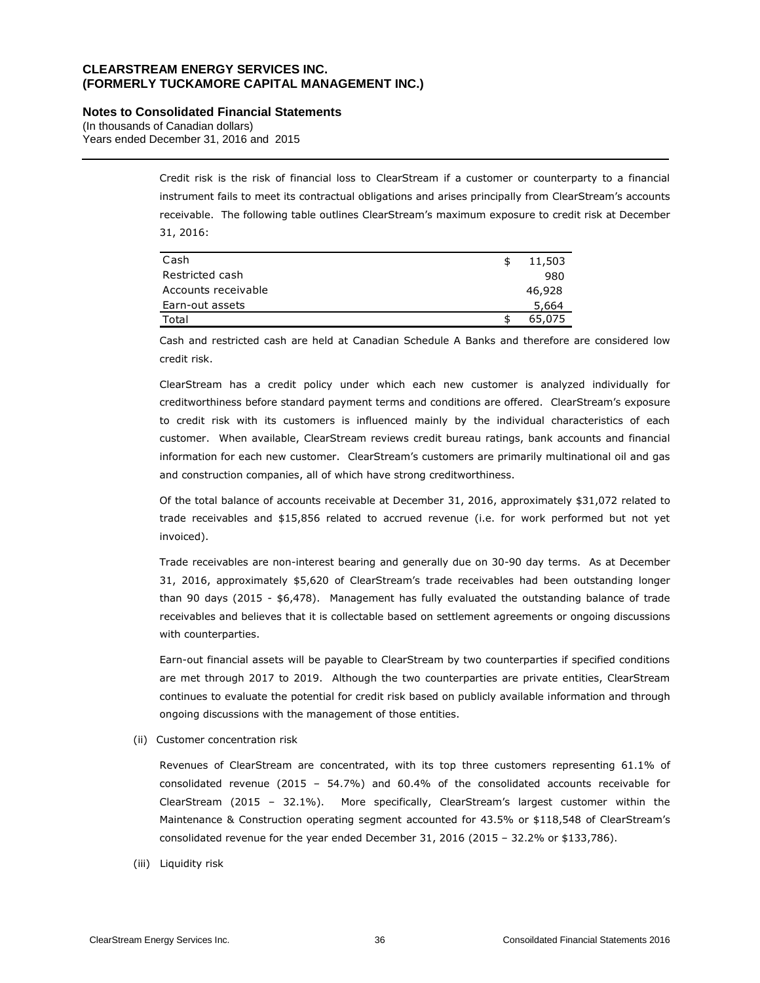### **Notes to Consolidated Financial Statements**

(In thousands of Canadian dollars) Years ended December 31, 2016 and 2015

> Credit risk is the risk of financial loss to ClearStream if a customer or counterparty to a financial instrument fails to meet its contractual obligations and arises principally from ClearStream's accounts receivable. The following table outlines ClearStream's maximum exposure to credit risk at December 31, 2016:

| Cash                | 11,503 |
|---------------------|--------|
| Restricted cash     | 980    |
| Accounts receivable | 46,928 |
| Earn-out assets     | 5,664  |
| Total               | 65,075 |

Cash and restricted cash are held at Canadian Schedule A Banks and therefore are considered low credit risk.

ClearStream has a credit policy under which each new customer is analyzed individually for creditworthiness before standard payment terms and conditions are offered. ClearStream's exposure to credit risk with its customers is influenced mainly by the individual characteristics of each customer. When available, ClearStream reviews credit bureau ratings, bank accounts and financial information for each new customer. ClearStream's customers are primarily multinational oil and gas and construction companies, all of which have strong creditworthiness.

Of the total balance of accounts receivable at December 31, 2016, approximately \$31,072 related to trade receivables and \$15,856 related to accrued revenue (i.e. for work performed but not yet invoiced).

Trade receivables are non-interest bearing and generally due on 30-90 day terms. As at December 31, 2016, approximately \$5,620 of ClearStream's trade receivables had been outstanding longer than 90 days (2015 - \$6,478). Management has fully evaluated the outstanding balance of trade receivables and believes that it is collectable based on settlement agreements or ongoing discussions with counterparties.

Earn-out financial assets will be payable to ClearStream by two counterparties if specified conditions are met through 2017 to 2019. Although the two counterparties are private entities, ClearStream continues to evaluate the potential for credit risk based on publicly available information and through ongoing discussions with the management of those entities.

(ii) Customer concentration risk

Revenues of ClearStream are concentrated, with its top three customers representing 61.1% of consolidated revenue (2015 – 54.7%) and 60.4% of the consolidated accounts receivable for ClearStream (2015 – 32.1%). More specifically, ClearStream's largest customer within the Maintenance & Construction operating segment accounted for 43.5% or \$118,548 of ClearStream's consolidated revenue for the year ended December 31, 2016 (2015 - 32.2% or  $$133,786$ ).

(iii) Liquidity risk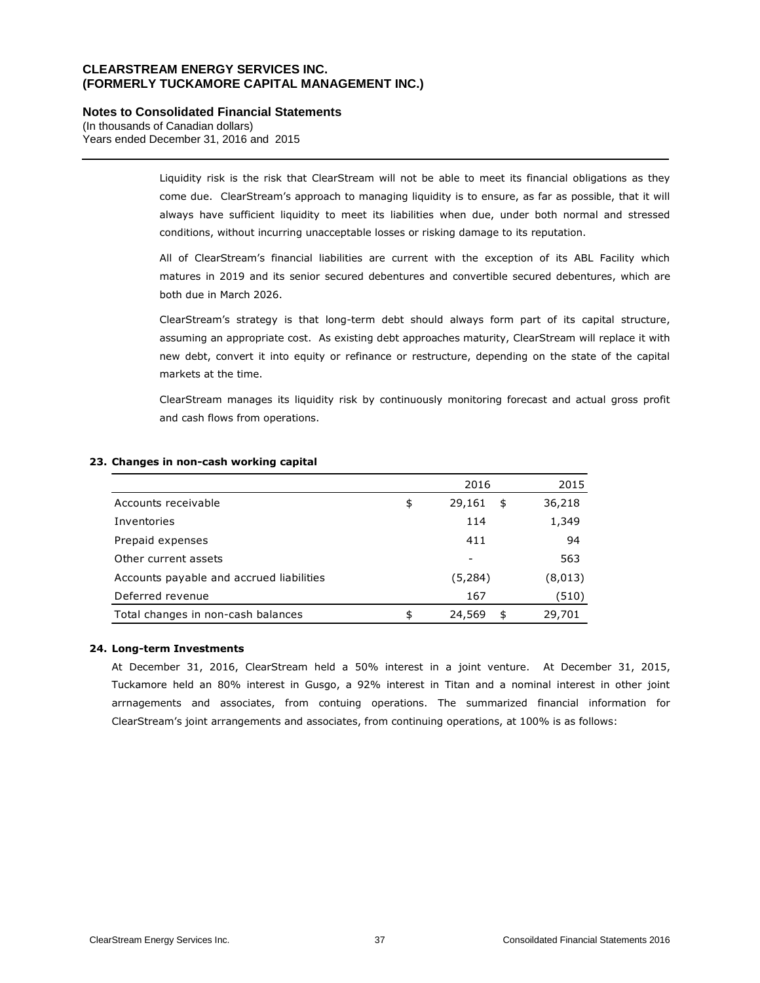### **Notes to Consolidated Financial Statements**

(In thousands of Canadian dollars) Years ended December 31, 2016 and 2015

> Liquidity risk is the risk that ClearStream will not be able to meet its financial obligations as they come due. ClearStream's approach to managing liquidity is to ensure, as far as possible, that it will always have sufficient liquidity to meet its liabilities when due, under both normal and stressed conditions, without incurring unacceptable losses or risking damage to its reputation.

> All of ClearStream's financial liabilities are current with the exception of its ABL Facility which matures in 2019 and its senior secured debentures and convertible secured debentures, which are both due in March 2026.

> ClearStream's strategy is that long-term debt should always form part of its capital structure, assuming an appropriate cost. As existing debt approaches maturity, ClearStream will replace it with new debt, convert it into equity or refinance or restructure, depending on the state of the capital markets at the time.

> ClearStream manages its liquidity risk by continuously monitoring forecast and actual gross profit and cash flows from operations.

|                                          | 2016               | 2015    |
|------------------------------------------|--------------------|---------|
| Accounts receivable                      | \$<br>29,161<br>\$ | 36,218  |
| Inventories                              | 114                | 1,349   |
| Prepaid expenses                         | 411                | 94      |
| Other current assets                     |                    | 563     |
| Accounts payable and accrued liabilities | (5,284)            | (8,013) |
| Deferred revenue                         | 167                | (510)   |
| Total changes in non-cash balances       | \$<br>24,569<br>\$ | 29,701  |

### **23. Changes in non-cash working capital**

#### **24. Long-term Investments**

At December 31, 2016, ClearStream held a 50% interest in a joint venture. At December 31, 2015, Tuckamore held an 80% interest in Gusgo, a 92% interest in Titan and a nominal interest in other joint arrnagements and associates, from contuing operations. The summarized financial information for ClearStream's joint arrangements and associates, from continuing operations, at 100% is as follows: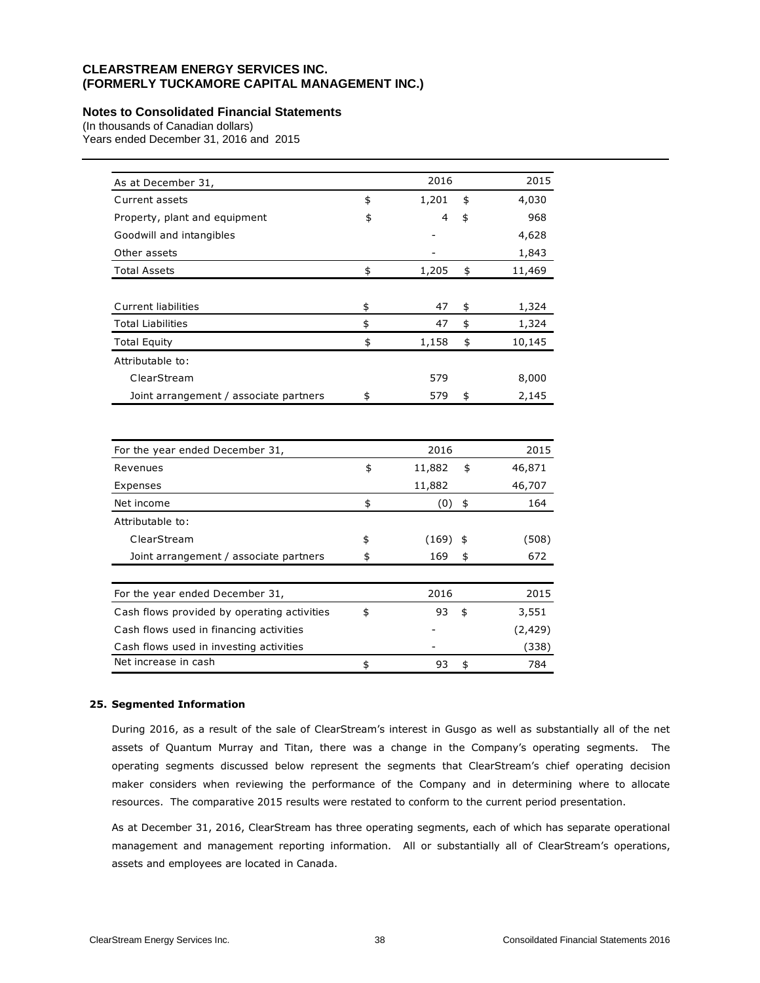# **Notes to Consolidated Financial Statements**

(In thousands of Canadian dollars)

Years ended December 31, 2016 and 2015

| As at December 31,                          | 2016         | 2015         |
|---------------------------------------------|--------------|--------------|
| Current assets                              | \$<br>1,201  | \$<br>4,030  |
| Property, plant and equipment               | \$<br>4      | \$<br>968    |
| Goodwill and intangibles                    |              | 4,628        |
| Other assets                                |              | 1,843        |
| <b>Total Assets</b>                         | \$<br>1,205  | \$<br>11,469 |
| <b>Current liabilities</b>                  | \$<br>47     | \$<br>1,324  |
| <b>Total Liabilities</b>                    | \$<br>47     | \$<br>1,324  |
| <b>Total Equity</b>                         | \$<br>1,158  | \$<br>10,145 |
| Attributable to:                            |              |              |
| ClearStream                                 | 579          | 8,000        |
| Joint arrangement / associate partners      | \$<br>579    | \$<br>2,145  |
|                                             |              |              |
| For the year ended December 31,             | 2016         | 2015         |
| Revenues                                    | \$<br>11,882 | \$<br>46,871 |
| Expenses                                    | 11,882       | 46,707       |
| Net income                                  | \$<br>(0)    | \$<br>164    |
| Attributable to:                            |              |              |
| ClearStream                                 | \$<br>(169)  | \$<br>(508)  |
| Joint arrangement / associate partners      | \$<br>169    | \$<br>672    |
| For the year ended December 31,             | 2016         | 2015         |
| Cash flows provided by operating activities | \$<br>93     | \$<br>3,551  |
| Cash flows used in financing activities     |              | (2, 429)     |
| Cash flows used in investing activities     |              | (338)        |

Net increase in cash  $\frac{1}{3}$  93 \$ 784

## **25. Segmented Information**

During 2016, as a result of the sale of ClearStream's interest in Gusgo as well as substantially all of the net assets of Quantum Murray and Titan, there was a change in the Company's operating segments. The operating segments discussed below represent the segments that ClearStream's chief operating decision maker considers when reviewing the performance of the Company and in determining where to allocate resources. The comparative 2015 results were restated to conform to the current period presentation.

As at December 31, 2016, ClearStream has three operating segments, each of which has separate operational management and management reporting information. All or substantially all of ClearStream's operations, assets and employees are located in Canada.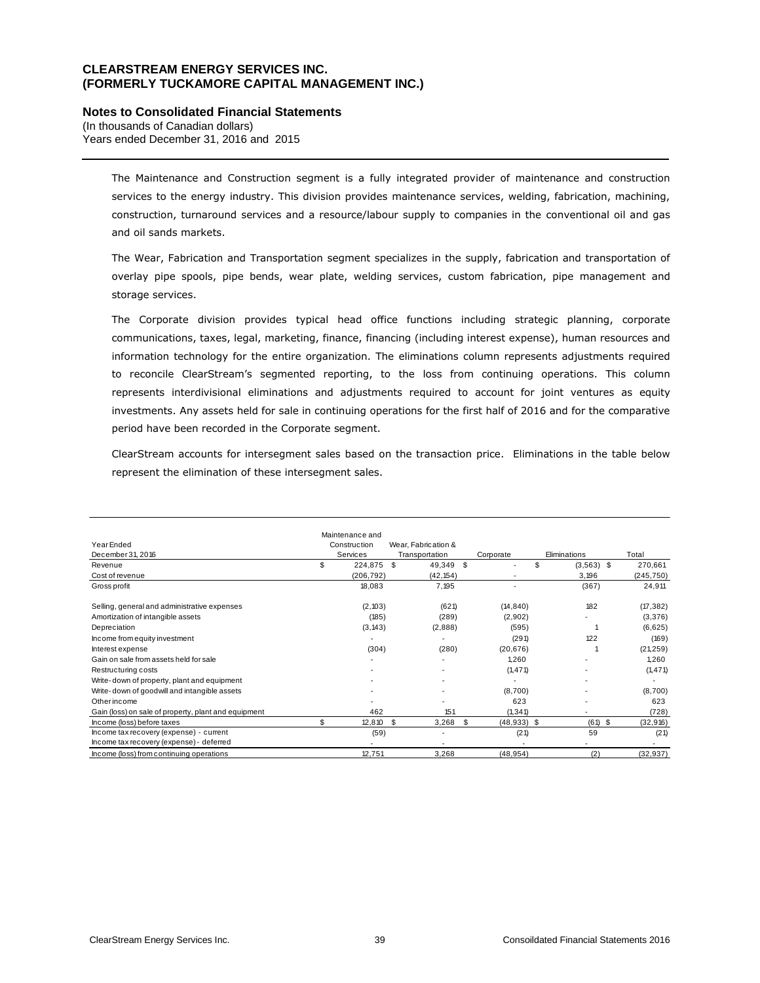### **Notes to Consolidated Financial Statements**

(In thousands of Canadian dollars) Years ended December 31, 2016 and 2015

> The Maintenance and Construction segment is a fully integrated provider of maintenance and construction services to the energy industry. This division provides maintenance services, welding, fabrication, machining, construction, turnaround services and a resource/labour supply to companies in the conventional oil and gas and oil sands markets.

> The Wear, Fabrication and Transportation segment specializes in the supply, fabrication and transportation of overlay pipe spools, pipe bends, wear plate, welding services, custom fabrication, pipe management and storage services.

> The Corporate division provides typical head office functions including strategic planning, corporate communications, taxes, legal, marketing, finance, financing (including interest expense), human resources and information technology for the entire organization. The eliminations column represents adjustments required to reconcile ClearStream's segmented reporting, to the loss from continuing operations. This column represents interdivisional eliminations and adjustments required to account for joint ventures as equity investments. Any assets held for sale in continuing operations for the first half of 2016 and for the comparative period have been recorded in the Corporate segment.

> ClearStream accounts for intersegment sales based on the transaction price. Eliminations in the table below represent the elimination of these intersegment sales.

| Year Ended                                           | Maintenance and<br>Construction |     | Wear, Fabrication &      |     |                                |              |            |
|------------------------------------------------------|---------------------------------|-----|--------------------------|-----|--------------------------------|--------------|------------|
| December 31, 2016                                    | Services                        |     | Transportation           |     | Corporate                      | Eliminations | Total      |
| Revenue                                              | \$<br>224,875                   | \$. | 49,349                   | \$  | \$<br>$\overline{\phantom{a}}$ | $(3,563)$ \$ | 270,661    |
| Cost of revenue                                      | (206, 792)                      |     | (42, 154)                |     |                                | 3,196        | (245, 750) |
| Gross profit                                         | 18,083                          |     | 7,195                    |     |                                | (367)        | 24,911     |
| Selling, general and administrative expenses         | (2, 103)                        |     | (621)                    |     | (14, 840)                      | 182          | (17, 382)  |
| Amortization of intangible assets                    | (185)                           |     | (289)                    |     | (2,902)                        |              | (3,376)    |
| Depreciation                                         | (3, 143)                        |     | (2,888)                  |     | (595)                          |              | (6,625)    |
| Income from equity investment                        | ٠                               |     |                          |     | (291)                          | 122          | (169)      |
| Interest expense                                     | (304)                           |     | (280)                    |     | (20, 676)                      |              | (21, 259)  |
| Gain on sale from assets held for sale               |                                 |     |                          |     | 1,260                          |              | 1,260      |
| Restructuring costs                                  |                                 |     |                          |     | (1, 471)                       |              | (1, 471)   |
| Write-down of property, plant and equipment          |                                 |     | $\overline{\phantom{a}}$ |     |                                |              |            |
| Write-down of goodwill and intangible assets         |                                 |     |                          |     | (8,700)                        |              | (8,700)    |
| Other income                                         |                                 |     |                          |     | 623                            |              | 623        |
| Gain (loss) on sale of property, plant and equipment | 462                             |     | 151                      |     | (1, 341)                       |              | (728)      |
| Income (loss) before taxes                           | \$<br>12,810                    | \$  | 3,268                    | \$. | $(48, 933)$ \$                 | $(61)$ \$    | (32, 916)  |
| Income tax recovery (expense) - current              | (59)                            |     | $\overline{\phantom{a}}$ |     | (21)                           | 59           | (21)       |
| Income tax recovery (expense) - deferred             |                                 |     |                          |     |                                |              |            |
| Income (loss) from continuing operations             | 12,751                          |     | 3,268                    |     | (48, 954)                      | (2)          | (32, 937)  |